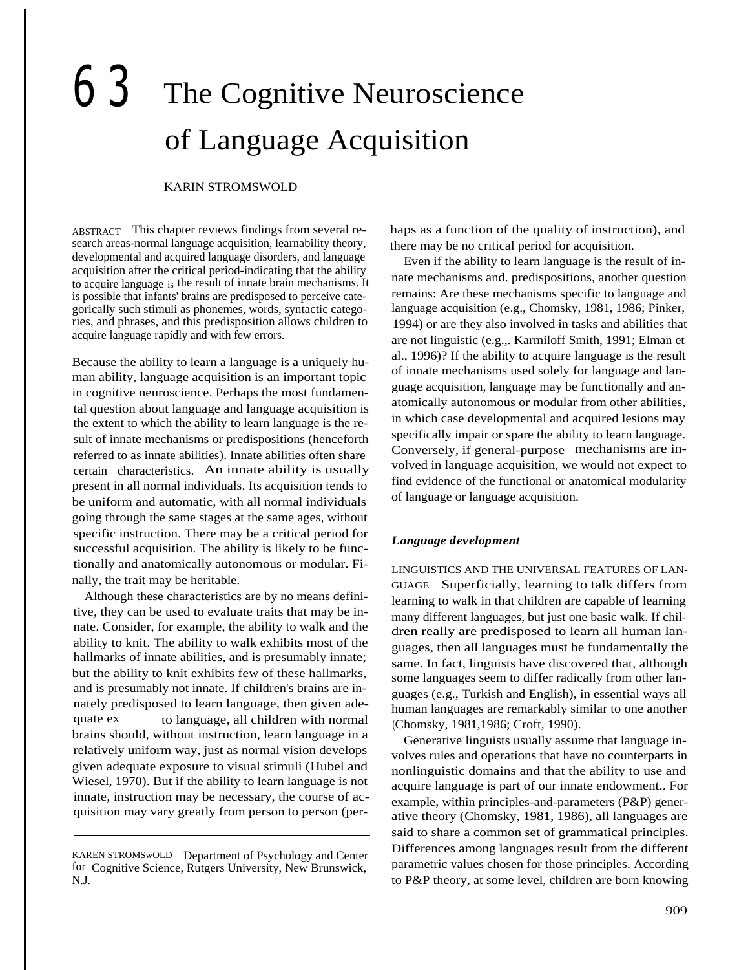# **6 3** The Cognitive Neuroscience of Language Acquisition

#### KARIN STROMSWOLD

ABSTRACT This chapter reviews findings from several research areas-normal language acquisition, learnability theory, developmental and acquired language disorders, and language acquisition after the critical period-indicating that the ability to acquire language is the result of innate brain mechanisms. It is possible that infants' brains are predisposed to perceive categorically such stimuli as phonemes, words, syntactic categories, and phrases, and this predisposition allows children to acquire language rapidly and with few errors.

Because the ability to learn a language is a uniquely human ability, language acquisition is an important topic in cognitive neuroscience. Perhaps the most fundamental question about language and language acquisition is the extent to which the ability to learn language is the result of innate mechanisms or predispositions (henceforth referred to as innate abilities). Innate abilities often share certain characteristics. An innate ability is usually present in all normal individuals. Its acquisition tends to be uniform and automatic, with all normal individuals going through the same stages at the same ages, without specific instruction. There may be a critical period for successful acquisition. The ability is likely to be functionally and anatomically autonomous or modular. Finally, the trait may be heritable.

Although these characteristics are by no means definitive, they can be used to evaluate traits that may be innate. Consider, for example, the ability to walk and the ability to knit. The ability to walk exhibits most of the hallmarks of innate abilities, and is presumably innate; but the ability to knit exhibits few of these hallmarks, and is presumably not innate. If children's brains are innately predisposed to learn language, then given adequate ex to language, all children with normal brains should, without instruction, learn language in a relatively uniform way, just as normal vision develops given adequate exposure to visual stimuli (Hubel and Wiesel, 1970). But if the ability to learn language is not innate, instruction may be necessary, the course of acquisition may vary greatly from person to person (perhaps as a function of the quality of instruction), and there may be no critical period for acquisition.

Even if the ability to learn language is the result of innate mechanisms and. predispositions, another question remains: Are these mechanisms specific to language and language acquisition (e.g., Chomsky, 1981, 1986; Pinker, 1994) or are they also involved in tasks and abilities that are not linguistic (e.g.,. Karmiloff Smith, 1991; Elman et al., 1996)? If the ability to acquire language is the result of innate mechanisms used solely for language and language acquisition, language may be functionally and anatomically autonomous or modular from other abilities, in which case developmental and acquired lesions may specifically impair or spare the ability to learn language. Conversely, if general-purpose mechanisms are involved in language acquisition, we would not expect to find evidence of the functional or anatomical modularity of language or language acquisition.

#### *Language development*

LINGUISTICS AND THE UNIVERSAL FEATURES OF LAN-GUAGE Superficially, learning to talk differs from learning to walk in that children are capable of learning many different languages, but just one basic walk. If children really are predisposed to learn all human languages, then all languages must be fundamentally the same. In fact, linguists have discovered that, although some languages seem to differ radically from other languages (e.g., Turkish and English), in essential ways all human languages are remarkably similar to one another (Chomsky, 1981,1986; Croft, 1990).

Generative linguists usually assume that language involves rules and operations that have no counterparts in nonlinguistic domains and that the ability to use and acquire language is part of our innate endowment.. For example, within principles-and-parameters (P&P) generative theory (Chomsky, 1981, 1986), all languages are said to share a common set of grammatical principles. Differences among languages result from the different parametric values chosen for those principles. According to P&P theory, at some level, children are born knowing

KAREN STROMSwOLD Department of Psychology and Center for Cognitive Science, Rutgers University, New Brunswick, N.J.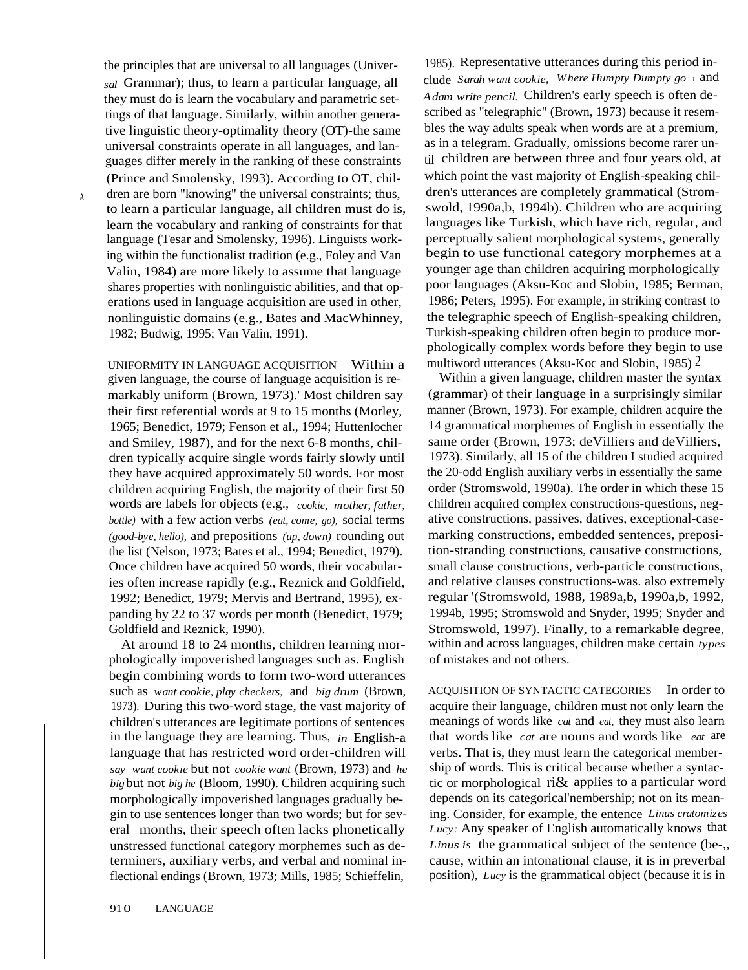the principles that are universal to all languages (Univer*sal* Grammar); thus, to learn a particular language, all they must do is learn the vocabulary and parametric settings of that language. Similarly, within another generative linguistic theory-optimality theory (OT)-the same universal constraints operate in all languages, and languages differ merely in the ranking of these constraints (Prince and Smolensky, 1993). According to OT, children are born "knowing" the universal constraints; thus, to learn a particular language, all children must do is, learn the vocabulary and ranking of constraints for that language (Tesar and Smolensky, 1996). Linguists working within the functionalist tradition (e.g., Foley and Van Valin, 1984) are more likely to assume that language shares properties with nonlinguistic abilities, and that operations used in language acquisition are used in other, nonlinguistic domains (e.g., Bates and MacWhinney, 1982; Budwig, 1995; Van Valin, 1991).

A

UNIFORMITY IN LANGUAGE ACQUISITION Within a given language, the course of language acquisition is remarkably uniform (Brown, 1973).' Most children say their first referential words at 9 to 15 months (Morley, 1965; Benedict, 1979; Fenson et al., 1994; Huttenlocher and Smiley, 1987), and for the next 6-8 months, children typically acquire single words fairly slowly until they have acquired approximately 50 words. For most children acquiring English, the majority of their first 50 words are labels for objects (e.g., *cookie, mother, father, bottle)* with a few action verbs *(eat, come, go),* social terms *(good-bye, hello),* and prepositions *(up, down)* rounding out the list (Nelson, 1973; Bates et al., 1994; Benedict, 1979). Once children have acquired 50 words, their vocabularies often increase rapidly (e.g., Reznick and Goldfield, 1992; Benedict, 1979; Mervis and Bertrand, 1995), expanding by 22 to 37 words per month (Benedict, 1979; Goldfield and Reznick, 1990).

At around 18 to 24 months, children learning morphologically impoverished languages such as. English begin combining words to form two-word utterances such as *want cookie, play checkers,* and *big drum* (Brown, 1973). During this two-word stage, the vast majority of children's utterances are legitimate portions of sentences in the language they are learning. Thus, *in* English-a language that has restricted word order-children will *say want cookie* but not *cookie want* (Brown, 1973) and *he big*but not *big he* (Bloom, 1990). Children acquiring such morphologically impoverished languages gradually begin to use sentences longer than two words; but for several months, their speech often lacks phonetically unstressed functional category morphemes such as determiners, auxiliary verbs, and verbal and nominal inflectional endings (Brown, 1973; Mills, 1985; Schieffelin,

1985). Representative utterances during this period include *Sarah want cookie, Where Humpty Dumpty go <sup>1</sup>* and *Adam write pencil.* Children's early speech is often described as "telegraphic" (Brown, 1973) because it resembles the way adults speak when words are at a premium, as in a telegram. Gradually, omissions become rarer until children are between three and four years old, at which point the vast majority of English-speaking children's utterances are completely grammatical (Stromswold, 1990a,b, 1994b). Children who are acquiring languages like Turkish, which have rich, regular, and perceptually salient morphological systems, generally begin to use functional category morphemes at a younger age than children acquiring morphologically poor languages (Aksu-Koc and Slobin, 1985; Berman, 1986; Peters, 1995). For example, in striking contrast to the telegraphic speech of English-speaking children, Turkish-speaking children often begin to produce morphologically complex words before they begin to use multiword utterances (Aksu-Koc and Slobin, 1985) 2

Within a given language, children master the syntax (grammar) of their language in a surprisingly similar manner (Brown, 1973). For example, children acquire the 14 grammatical morphemes of English in essentially the same order (Brown, 1973; deVilliers and deVilliers, 1973). Similarly, all 15 of the children I studied acquired the 20-odd English auxiliary verbs in essentially the same order (Stromswold, 1990a). The order in which these 15 children acquired complex constructions-questions, negative constructions, passives, datives, exceptional-casemarking constructions, embedded sentences, preposition-stranding constructions, causative constructions, small clause constructions, verb-particle constructions, and relative clauses constructions-was. also extremely regular '(Stromswold, 1988, 1989a,b, 1990a,b, 1992, 1994b, 1995; Stromswold and Snyder, 1995; Snyder and Stromswold, 1997). Finally, to a remarkable degree, within and across languages, children make certain *types* of mistakes and not others.

ACQUISITION OF SYNTACTIC CATEGORIES In order to acquire their language, children must not only learn the meanings of words like *cat* and *eat,* they must also learn that words like *cat* are nouns and words like *eat* are verbs. That is, they must learn the categorical membership of words. This is critical because whether a syntactic or morphological ri $\&$  applies to a particular word depends on its categorical'nembership; not on its meaning. Consider, for example, the entence *Linus cratomizes* Lucy: Any speaker of English automatically knows that *Linus is* the grammatical subject of the sentence (be-,, cause, within an intonational clause, it is in preverbal position), *Lucy* is the grammatical object (because it is in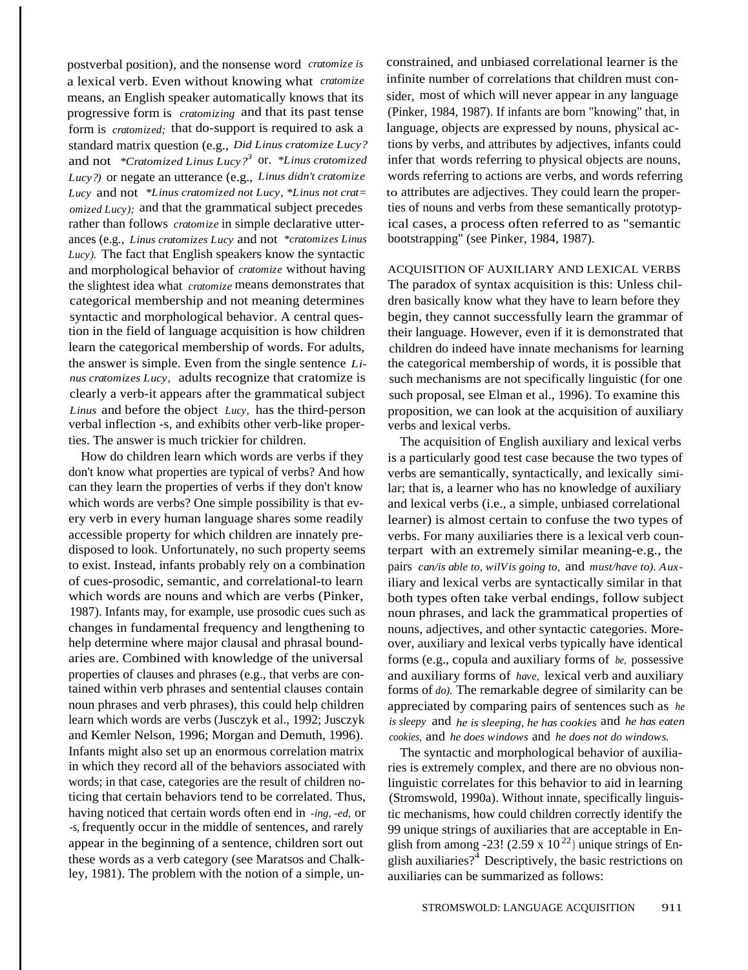postverbal position), and the nonsense word *cratomize is* a lexical verb. Even without knowing what *cratomize* means, an English speaker automatically knows that its progressive form is *cratomizing* and that its past tense form is *cratomized;* that do-support is required to ask a standard matrix question (e.g., *Did Linus cratomize Lucy?* and not *\*Cratomized Linus Lucy?<sup>3</sup>* or. *\*Linus cratomized Lucy?)* or negate an utterance (e.g., *Linus didn't cratomize Lucy* and not *\*Linus cratomized not Lucy, \*Linus not crat= omized Lucy);* and that the grammatical subject precedes rather than follows *cratomize* in simple declarative utterances (e.g., *Linus cratomizes Lucy* and not *\*cratomizes Linus Lucy).* The fact that English speakers know the syntactic and morphological behavior of *cratomize* without having the slightest idea what *cratomize* means demonstrates that categorical membership and not meaning determines syntactic and morphological behavior. A central question in the field of language acquisition is how children learn the categorical membership of words. For adults, the answer is simple. Even from the single sentence *Linus cratomizes Lucy,* adults recognize that cratomize is clearly a verb-it appears after the grammatical subject *Linus* and before the object *Lucy,* has the third-person verbal inflection -s, and exhibits other verb-like properties. The answer is much trickier for children.

How do children learn which words are verbs if they don't know what properties are typical of verbs? And how can they learn the properties of verbs if they don't know which words are verbs? One simple possibility is that every verb in every human language shares some readily accessible property for which children are innately predisposed to look. Unfortunately, no such property seems to exist. Instead, infants probably rely on a combination of cues-prosodic, semantic, and correlational-to learn which words are nouns and which are verbs (Pinker, 1987). Infants may, for example, use prosodic cues such as changes in fundamental frequency and lengthening to help determine where major clausal and phrasal boundaries are. Combined with knowledge of the universal properties of clauses and phrases (e.g., that verbs are contained within verb phrases and sentential clauses contain noun phrases and verb phrases), this could help children learn which words are verbs (Jusczyk et al., 1992; Jusczyk and Kemler Nelson, 1996; Morgan and Demuth, 1996). Infants might also set up an enormous correlation matrix in which they record all of the behaviors associated with words; in that case, categories are the result of children noticing that certain behaviors tend to be correlated. Thus, having noticed that certain words often end in *-ing, -ed,* or -s, frequently occur in the middle of sentences, and rarely appear in the beginning of a sentence, children sort out these words as a verb category (see Maratsos and Chalkley, 1981). The problem with the notion of a simple, unconstrained, and unbiased correlational learner is the infinite number of correlations that children must consider, most of which will never appear in any language (Pinker, 1984, 1987). If infants are born "knowing" that, in language, objects are expressed by nouns, physical actions by verbs, and attributes by adjectives, infants could infer that words referring to physical objects are nouns, words referring to actions are verbs, and words referring to attributes are adjectives. They could learn the properties of nouns and verbs from these semantically prototypical cases, a process often referred to as "semantic bootstrapping" (see Pinker, 1984, 1987).

ACQUISITION OF AUXILIARY AND LEXICAL VERBS The paradox of syntax acquisition is this: Unless children basically know what they have to learn before they begin, they cannot successfully learn the grammar of their language. However, even if it is demonstrated that children do indeed have innate mechanisms for learning the categorical membership of words, it is possible that such mechanisms are not specifically linguistic (for one such proposal, see Elman et al., 1996). To examine this proposition, we can look at the acquisition of auxiliary verbs and lexical verbs.

The acquisition of English auxiliary and lexical verbs is a particularly good test case because the two types of verbs are semantically, syntactically, and lexically similar; that is, a learner who has no knowledge of auxiliary and lexical verbs (i.e., a simple, unbiased correlational learner) is almost certain to confuse the two types of verbs. For many auxiliaries there is a lexical verb counterpart with an extremely similar meaning-e.g., the pairs *can/is able to, wilVis going to,* and *must/have to). Aux*iliary and lexical verbs are syntactically similar in that both types often take verbal endings, follow subject noun phrases, and lack the grammatical properties of nouns, adjectives, and other syntactic categories. Moreover, auxiliary and lexical verbs typically have identical forms (e.g., copula and auxiliary forms of *be,* possessive and auxiliary forms of *have,* lexical verb and auxiliary forms of *do).* The remarkable degree of similarity can be appreciated by comparing pairs of sentences such as *he is sleepy* and *he is sleeping, he has cookies* and *he has eaten cookies,* and *he does windows* and *he does not do windows.*

The syntactic and morphological behavior of auxiliaries is extremely complex, and there are no obvious nonlinguistic correlates for this behavior to aid in learning (Stromswold, 1990a). Without innate, specifically linguistic mechanisms, how could children correctly identify the 99 unique strings of auxiliaries that are acceptable in English from among -23! (2.59 x  $10^{22}$ ) unique strings of English auxiliaries? $4$  Descriptively, the basic restrictions on auxiliaries can be summarized as follows: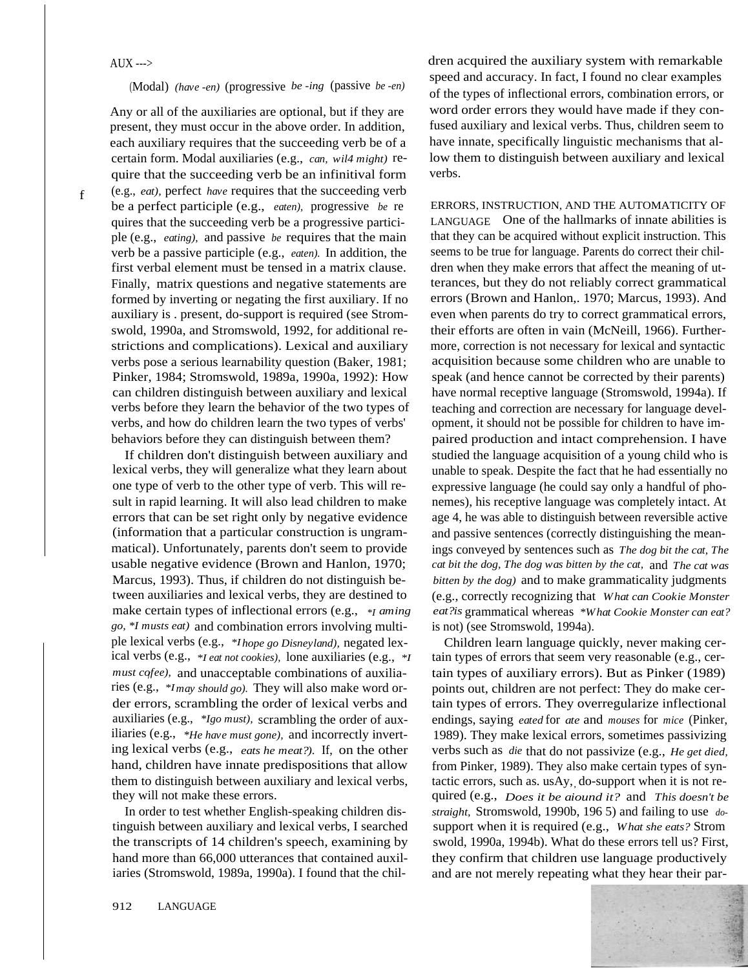AUX --->

f

(Modal) *(have -en)* (progressive *be -ing* (passive *be -en)*

Any or all of the auxiliaries are optional, but if they are present, they must occur in the above order. In addition, each auxiliary requires that the succeeding verb be of a certain form. Modal auxiliaries (e.g., *can, wil4 might)* require that the succeeding verb be an infinitival form (e.g., *eat),* perfect *have* requires that the succeeding verb be a perfect participle (e.g., *eaten),* progressive *be* re quires that the succeeding verb be a progressive participle (e.g., *eating),* and passive *be* requires that the main verb be a passive participle (e.g., *eaten).* In addition, the first verbal element must be tensed in a matrix clause. Finally, matrix questions and negative statements are formed by inverting or negating the first auxiliary. If no auxiliary is . present, do-support is required (see Stromswold, 1990a, and Stromswold, 1992, for additional restrictions and complications). Lexical and auxiliary verbs pose a serious learnability question (Baker, 1981; Pinker, 1984; Stromswold, 1989a, 1990a, 1992): How can children distinguish between auxiliary and lexical verbs before they learn the behavior of the two types of verbs, and how do children learn the two types of verbs' behaviors before they can distinguish between them?

If children don't distinguish between auxiliary and lexical verbs, they will generalize what they learn about one type of verb to the other type of verb. This will result in rapid learning. It will also lead children to make errors that can be set right only by negative evidence (information that a particular construction is ungrammatical). Unfortunately, parents don't seem to provide usable negative evidence (Brown and Hanlon, 1970; Marcus, 1993). Thus, if children do not distinguish between auxiliaries and lexical verbs, they are destined to make certain types of inflectional errors (e.g., *\*I aming go, \*I musts eat)* and combination errors involving multiple lexical verbs (e.g., *\*Ihope go Disneyland),* negated lexical verbs (e.g., *\*I eat not cookies),* lone auxiliaries (e.g., *\*I must coffee),* and unacceptable combinations of auxiliaries (e.g., *\*Imay should go).* They will also make word order errors, scrambling the order of lexical verbs and auxiliaries (e.g., *\*Igo must),* scrambling the order of auxiliaries (e.g., *\*He have must gone),* and incorrectly inverting lexical verbs (e.g., *eats he meat?).* If, on the other hand, children have innate predispositions that allow them to distinguish between auxiliary and lexical verbs, they will not make these errors.

In order to test whether English-speaking children distinguish between auxiliary and lexical verbs, I searched the transcripts of 14 children's speech, examining by hand more than 66,000 utterances that contained auxiliaries (Stromswold, 1989a, 1990a). I found that the children acquired the auxiliary system with remarkable speed and accuracy. In fact, I found no clear examples of the types of inflectional errors, combination errors, or word order errors they would have made if they confused auxiliary and lexical verbs. Thus, children seem to have innate, specifically linguistic mechanisms that allow them to distinguish between auxiliary and lexical verbs.

ERRORS, INSTRUCTION, AND THE AUTOMATICITY OF LANGUAGE One of the hallmarks of innate abilities is that they can be acquired without explicit instruction. This seems to be true for language. Parents do correct their children when they make errors that affect the meaning of utterances, but they do not reliably correct grammatical errors (Brown and Hanlon,. 1970; Marcus, 1993). And even when parents do try to correct grammatical errors, their efforts are often in vain (McNeill, 1966). Furthermore, correction is not necessary for lexical and syntactic acquisition because some children who are unable to speak (and hence cannot be corrected by their parents) have normal receptive language (Stromswold, 1994a). If teaching and correction are necessary for language development, it should not be possible for children to have impaired production and intact comprehension. I have studied the language acquisition of a young child who is unable to speak. Despite the fact that he had essentially no expressive language (he could say only a handful of phonemes), his receptive language was completely intact. At age 4, he was able to distinguish between reversible active and passive sentences (correctly distinguishing the meanings conveyed by sentences such as *The dog bit the cat, The cat bit the dog, The dog was bitten by the cat,* and *The cat was bitten by the dog)* and to make grammaticality judgments (e.g., correctly recognizing that *What can Cookie Monster eat?is* grammatical whereas *\*What Cookie Monster can eat?* is not) (see Stromswold, 1994a).

Children learn language quickly, never making certain types of errors that seem very reasonable (e.g., certain types of auxiliary errors). But as Pinker (1989) points out, children are not perfect: They do make certain types of errors. They overregularize inflectional endings, saying *eated* for *ate* and *mouses* for *mice* (Pinker, 1989). They make lexical errors, sometimes passivizing verbs such as *die* that do not passivize (e.g., *He get died,* from Pinker, 1989). They also make certain types of syntactic errors, such as. usAy, do-support when it is not required (e.g., *Does it be aiound it?* and *This doesn't be straight,* Stromswold, 1990b, 196 5) and failing to use *do*support when it is required (e.g., *What she eats?* Strom swold, 1990a, 1994b). What do these errors tell us? First, they confirm that children use language productively and are not merely repeating what they hear their par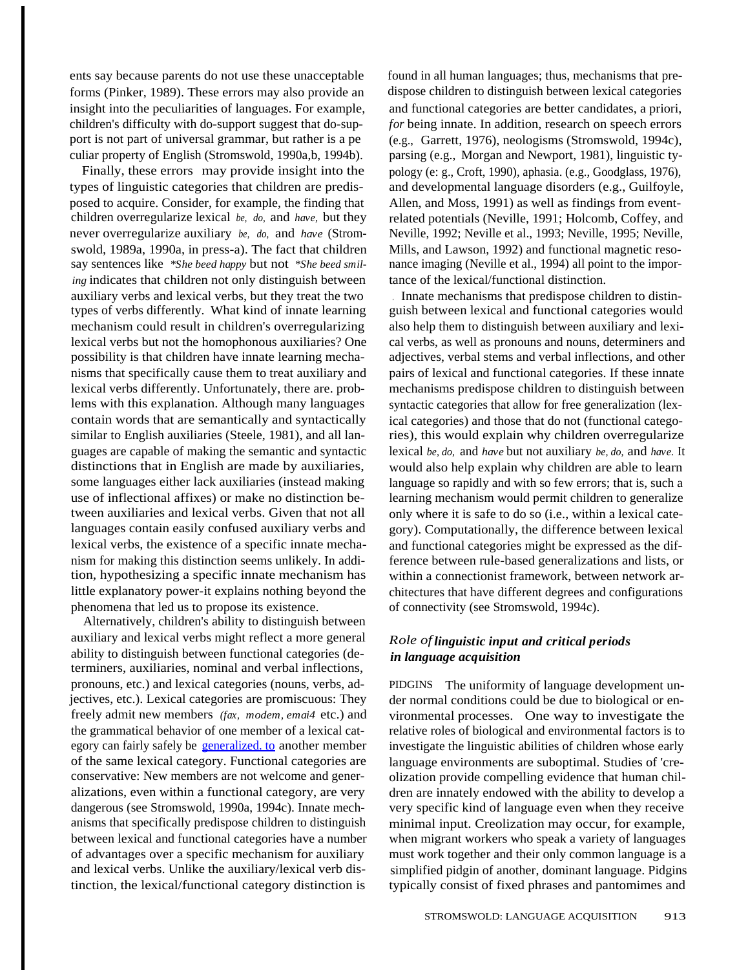ents say because parents do not use these unacceptable forms (Pinker, 1989). These errors may also provide an insight into the peculiarities of languages. For example, children's difficulty with do-support suggest that do-support is not part of universal grammar, but rather is a pe culiar property of English (Stromswold, 1990a,b, 1994b).

Finally, these errors may provide insight into the types of linguistic categories that children are predisposed to acquire. Consider, for example, the finding that children overregularize lexical *be, do,* and *have,* but they never overregularize auxiliary *be, do,* and *have* (Stromswold, 1989a, 1990a, in press-a). The fact that children say sentences like *\*She beed happy* but not *\*She beed smiling* indicates that children not only distinguish between auxiliary verbs and lexical verbs, but they treat the two types of verbs differently. What kind of innate learning mechanism could result in children's overregularizing lexical verbs but not the homophonous auxiliaries? One possibility is that children have innate learning mechanisms that specifically cause them to treat auxiliary and lexical verbs differently. Unfortunately, there are. problems with this explanation. Although many languages contain words that are semantically and syntactically similar to English auxiliaries (Steele, 1981), and all languages are capable of making the semantic and syntactic distinctions that in English are made by auxiliaries, some languages either lack auxiliaries (instead making use of inflectional affixes) or make no distinction between auxiliaries and lexical verbs. Given that not all languages contain easily confused auxiliary verbs and lexical verbs, the existence of a specific innate mechanism for making this distinction seems unlikely. In addition, hypothesizing a specific innate mechanism has little explanatory power-it explains nothing beyond the phenomena that led us to propose its existence.

Alternatively, children's ability to distinguish between auxiliary and lexical verbs might reflect a more general ability to distinguish between functional categories (determiners, auxiliaries, nominal and verbal inflections, pronouns, etc.) and lexical categories (nouns, verbs, adjectives, etc.). Lexical categories are promiscuous: They freely admit new members *(fax, modem, emai4* etc.) and the grammatical behavior of one member of a lexical category can fairly safely be [generalized. to](http://generalized.to) another member of the same lexical category. Functional categories are conservative: New members are not welcome and generalizations, even within a functional category, are very dangerous (see Stromswold, 1990a, 1994c). Innate mechanisms that specifically predispose children to distinguish between lexical and functional categories have a number of advantages over a specific mechanism for auxiliary and lexical verbs. Unlike the auxiliary/lexical verb distinction, the lexical/functional category distinction is

found in all human languages; thus, mechanisms that predispose children to distinguish between lexical categories and functional categories are better candidates, a priori, *for* being innate. In addition, research on speech errors (e.g., Garrett, 1976), neologisms (Stromswold, 1994c), parsing (e.g., Morgan and Newport, 1981), linguistic typology (e: g., Croft, 1990), aphasia. (e.g., Goodglass, 1976), and developmental language disorders (e.g., Guilfoyle, Allen, and Moss, 1991) as well as findings from eventrelated potentials (Neville, 1991; Holcomb, Coffey, and Neville, 1992; Neville et al., 1993; Neville, 1995; Neville, Mills, and Lawson, 1992) and functional magnetic resonance imaging (Neville et al., 1994) all point to the importance of the lexical/functional distinction.

. Innate mechanisms that predispose children to distinguish between lexical and functional categories would also help them to distinguish between auxiliary and lexical verbs, as well as pronouns and nouns, determiners and adjectives, verbal stems and verbal inflections, and other pairs of lexical and functional categories. If these innate mechanisms predispose children to distinguish between syntactic categories that allow for free generalization (lexical categories) and those that do not (functional categories), this would explain why children overregularize lexical *be, do,* and *have* but not auxiliary *be, do,* and *have.* It would also help explain why children are able to learn language so rapidly and with so few errors; that is, such a learning mechanism would permit children to generalize only where it is safe to do so (i.e., within a lexical category). Computationally, the difference between lexical and functional categories might be expressed as the difference between rule-based generalizations and lists, or within a connectionist framework, between network architectures that have different degrees and configurations of connectivity (see Stromswold, 1994c).

# *Role oflinguistic input and critical periods in language acquisition*

PIDGINS The uniformity of language development under normal conditions could be due to biological or environmental processes. One way to investigate the relative roles of biological and environmental factors is to investigate the linguistic abilities of children whose early language environments are suboptimal. Studies of 'creolization provide compelling evidence that human children are innately endowed with the ability to develop a very specific kind of language even when they receive minimal input. Creolization may occur, for example, when migrant workers who speak a variety of languages must work together and their only common language is a simplified pidgin of another, dominant language. Pidgins typically consist of fixed phrases and pantomimes and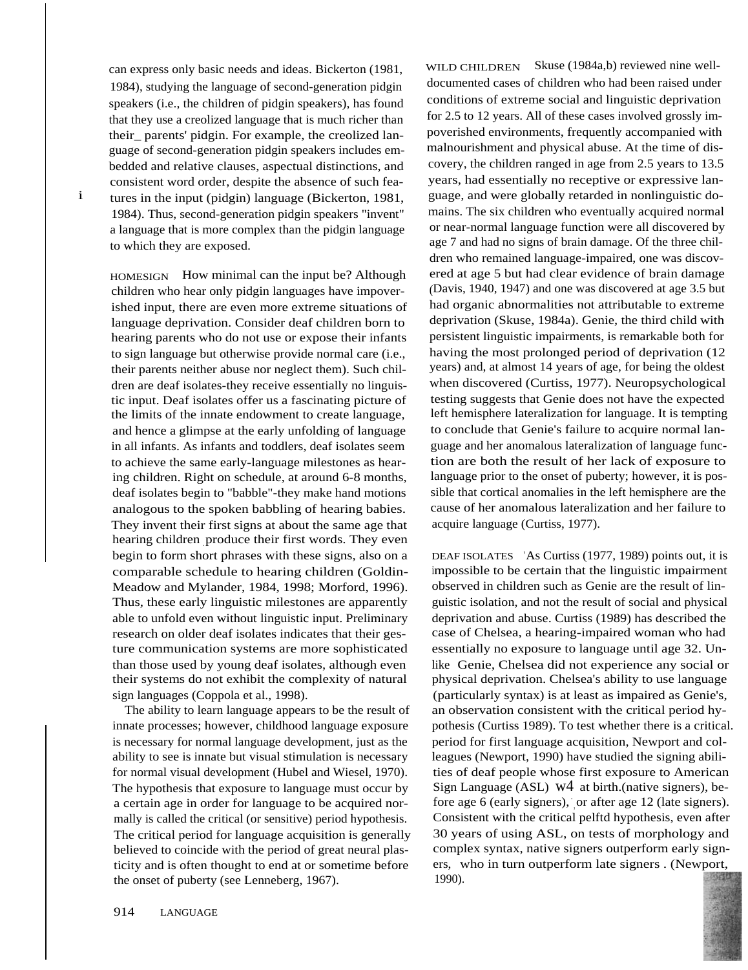can express only basic needs and ideas. Bickerton (1981, 1984), studying the language of second-generation pidgin speakers (i.e., the children of pidgin speakers), has found that they use a creolized language that is much richer than their\_ parents' pidgin. For example, the creolized language of second-generation pidgin speakers includes embedded and relative clauses, aspectual distinctions, and consistent word order, despite the absence of such features in the input (pidgin) language (Bickerton, 1981, 1984). Thus, second-generation pidgin speakers "invent" a language that is more complex than the pidgin language to which they are exposed.

i

HOMESIGN How minimal can the input be? Although children who hear only pidgin languages have impoverished input, there are even more extreme situations of language deprivation. Consider deaf children born to hearing parents who do not use or expose their infants to sign language but otherwise provide normal care (i.e., their parents neither abuse nor neglect them). Such children are deaf isolates-they receive essentially no linguistic input. Deaf isolates offer us a fascinating picture of the limits of the innate endowment to create language, and hence a glimpse at the early unfolding of language in all infants. As infants and toddlers, deaf isolates seem to achieve the same early-language milestones as hearing children. Right on schedule, at around 6-8 months, deaf isolates begin to "babble"-they make hand motions analogous to the spoken babbling of hearing babies. They invent their first signs at about the same age that hearing children produce their first words. They even begin to form short phrases with these signs, also on a comparable schedule to hearing children (Goldin-Meadow and Mylander, 1984, 1998; Morford, 1996). Thus, these early linguistic milestones are apparently able to unfold even without linguistic input. Preliminary research on older deaf isolates indicates that their gesture communication systems are more sophisticated than those used by young deaf isolates, although even their systems do not exhibit the complexity of natural sign languages (Coppola et al., 1998).

The ability to learn language appears to be the result of innate processes; however, childhood language exposure is necessary for normal language development, just as the ability to see is innate but visual stimulation is necessary for normal visual development (Hubel and Wiesel, 1970). The hypothesis that exposure to language must occur by a certain age in order for language to be acquired normally is called the critical (or sensitive) period hypothesis. The critical period for language acquisition is generally believed to coincide with the period of great neural plasticity and is often thought to end at or sometime before the onset of puberty (see Lenneberg, 1967).

WILD CHILDREN Skuse (1984a,b) reviewed nine welldocumented cases of children who had been raised under conditions of extreme social and linguistic deprivation for 2.5 to 12 years. All of these cases involved grossly impoverished environments, frequently accompanied with malnourishment and physical abuse. At the time of discovery, the children ranged in age from 2.5 years to 13.5 years, had essentially no receptive or expressive language, and were globally retarded in nonlinguistic domains. The six children who eventually acquired normal or near-normal language function were all discovered by age 7 and had no signs of brain damage. Of the three children who remained language-impaired, one was discovered at age 5 but had clear evidence of brain damage (Davis, 1940, 1947) and one was discovered at age 3.5 but had organic abnormalities not attributable to extreme deprivation (Skuse, 1984a). Genie, the third child with persistent linguistic impairments, is remarkable both for having the most prolonged period of deprivation (12 years) and, at almost 14 years of age, for being the oldest when discovered (Curtiss, 1977). Neuropsychological testing suggests that Genie does not have the expected left hemisphere lateralization for language. It is tempting to conclude that Genie's failure to acquire normal language and her anomalous lateralization of language function are both the result of her lack of exposure to language prior to the onset of puberty; however, it is possible that cortical anomalies in the left hemisphere are the cause of her anomalous lateralization and her failure to acquire language (Curtiss, 1977).

DEAF ISOLATES 'As Curtiss (1977, 1989) points out, it is impossible to be certain that the linguistic impairment observed in children such as Genie are the result of linguistic isolation, and not the result of social and physical deprivation and abuse. Curtiss (1989) has described the case of Chelsea, a hearing-impaired woman who had essentially no exposure to language until age 32. Unlike Genie, Chelsea did not experience any social or physical deprivation. Chelsea's ability to use language (particularly syntax) is at least as impaired as Genie's, an observation consistent with the critical period hypothesis (Curtiss 1989). To test whether there is a critical. period for first language acquisition, Newport and colleagues (Newport, 1990) have studied the signing abilities of deaf people whose first exposure to American Sign Language (ASL) w4 at birth.(native signers), before age 6 (early signers), or after age 12 (late signers). Consistent with the critical pelftd hypothesis, even after 30 years of using ASL, on tests of morphology and complex syntax, native signers outperform early signers, who in turn outperform late signers . (Newport, 1990).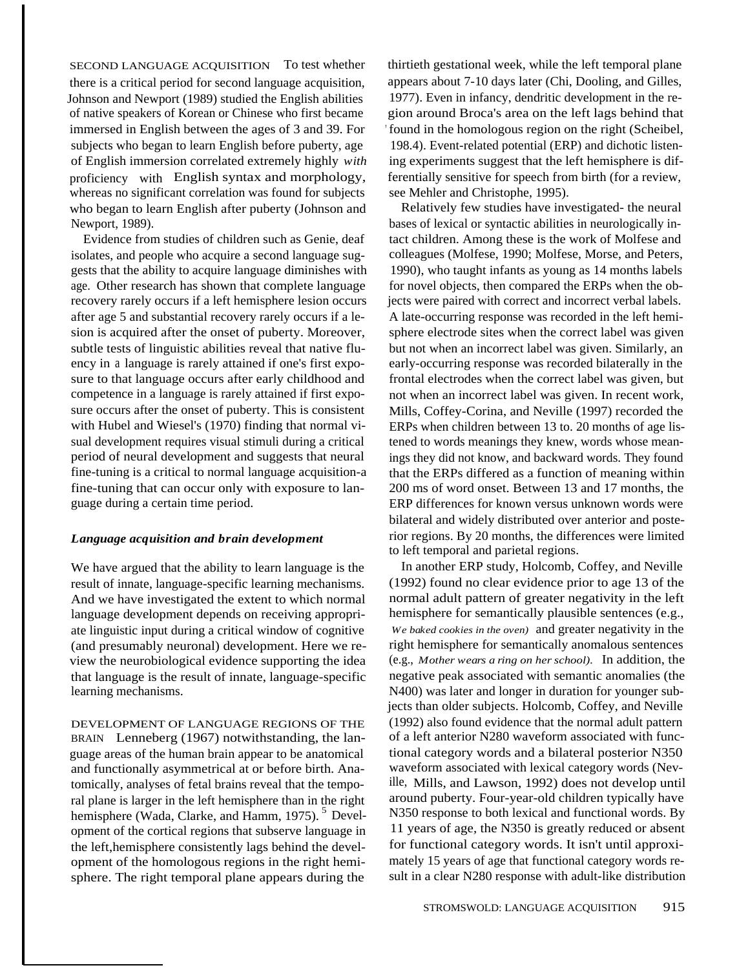SECOND LANGUAGE ACQUISITION To test whether there is a critical period for second language acquisition, Johnson and Newport (1989) studied the English abilities of native speakers of Korean or Chinese who first became immersed in English between the ages of 3 and 39. For subjects who began to learn English before puberty, age of English immersion correlated extremely highly *with* proficiency with English syntax and morphology, whereas no significant correlation was found for subjects who began to learn English after puberty (Johnson and Newport, 1989).

Evidence from studies of children such as Genie, deaf isolates, and people who acquire a second language suggests that the ability to acquire language diminishes with age. Other research has shown that complete language recovery rarely occurs if a left hemisphere lesion occurs after age 5 and substantial recovery rarely occurs if a lesion is acquired after the onset of puberty. Moreover, subtle tests of linguistic abilities reveal that native fluency in a language is rarely attained if one's first exposure to that language occurs after early childhood and competence in a language is rarely attained if first exposure occurs after the onset of puberty. This is consistent with Hubel and Wiesel's (1970) finding that normal visual development requires visual stimuli during a critical period of neural development and suggests that neural fine-tuning is a critical to normal language acquisition-a fine-tuning that can occur only with exposure to language during a certain time period.

#### *Language acquisition and brain development*

We have argued that the ability to learn language is the result of innate, language-specific learning mechanisms. And we have investigated the extent to which normal language development depends on receiving appropriate linguistic input during a critical window of cognitive (and presumably neuronal) development. Here we review the neurobiological evidence supporting the idea that language is the result of innate, language-specific learning mechanisms.

DEVELOPMENT OF LANGUAGE REGIONS OF THE BRAIN Lenneberg (1967) notwithstanding, the language areas of the human brain appear to be anatomical and functionally asymmetrical at or before birth. Anatomically, analyses of fetal brains reveal that the temporal plane is larger in the left hemisphere than in the right hemisphere (Wada, Clarke, and Hamm, 1975).<sup>5</sup> Development of the cortical regions that subserve language in the left,hemisphere consistently lags behind the development of the homologous regions in the right hemisphere. The right temporal plane appears during the

thirtieth gestational week, while the left temporal plane appears about 7-10 days later (Chi, Dooling, and Gilles, 1977). Even in infancy, dendritic development in the region around Broca's area on the left lags behind that ' found in the homologous region on the right (Scheibel, 198.4). Event-related potential (ERP) and dichotic listening experiments suggest that the left hemisphere is differentially sensitive for speech from birth (for a review, see Mehler and Christophe, 1995).

Relatively few studies have investigated- the neural bases of lexical or syntactic abilities in neurologically intact children. Among these is the work of Molfese and colleagues (Molfese, 1990; Molfese, Morse, and Peters, 1990), who taught infants as young as 14 months labels for novel objects, then compared the ERPs when the objects were paired with correct and incorrect verbal labels. A late-occurring response was recorded in the left hemisphere electrode sites when the correct label was given but not when an incorrect label was given. Similarly, an early-occurring response was recorded bilaterally in the frontal electrodes when the correct label was given, but not when an incorrect label was given. In recent work, Mills, Coffey-Corina, and Neville (1997) recorded the ERPs when children between 13 to. 20 months of age listened to words meanings they knew, words whose meanings they did not know, and backward words. They found that the ERPs differed as a function of meaning within 200 ms of word onset. Between 13 and 17 months, the ERP differences for known versus unknown words were bilateral and widely distributed over anterior and posterior regions. By 20 months, the differences were limited to left temporal and parietal regions.

In another ERP study, Holcomb, Coffey, and Neville (1992) found no clear evidence prior to age 13 of the normal adult pattern of greater negativity in the left hemisphere for semantically plausible sentences (e.g., *We baked cookies in the oven)* and greater negativity in the right hemisphere for semantically anomalous sentences (e.g., *Mother wears a ring on her school).* In addition, the negative peak associated with semantic anomalies (the N400) was later and longer in duration for younger subjects than older subjects. Holcomb, Coffey, and Neville (1992) also found evidence that the normal adult pattern of a left anterior N280 waveform associated with functional category words and a bilateral posterior N350 waveform associated with lexical category words (Neville, Mills, and Lawson, 1992) does not develop until around puberty. Four-year-old children typically have N350 response to both lexical and functional words. By 11 years of age, the N350 is greatly reduced or absent for functional category words. It isn't until approximately 15 years of age that functional category words result in a clear N280 response with adult-like distribution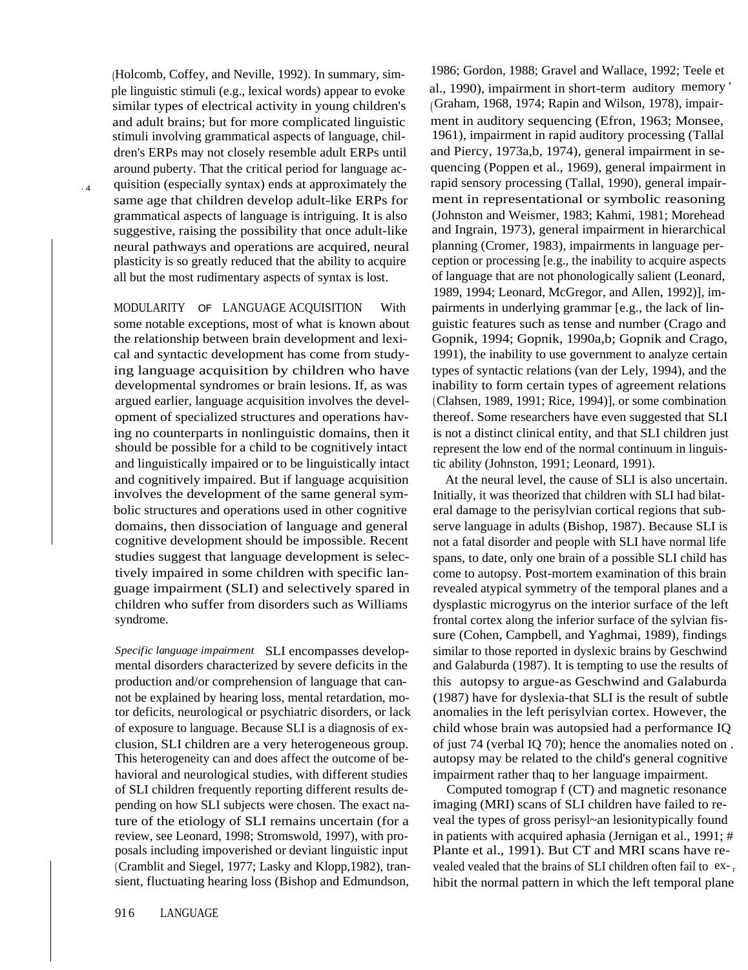(Holcomb, Coffey, and Neville, 1992). In summary, simple linguistic stimuli (e.g., lexical words) appear to evoke similar types of electrical activity in young children's and adult brains; but for more complicated linguistic stimuli involving grammatical aspects of language, children's ERPs may not closely resemble adult ERPs until around puberty. That the critical period for language acquisition (especially syntax) ends at approximately the same age that children develop adult-like ERPs for grammatical aspects of language is intriguing. It is also suggestive, raising the possibility that once adult-like neural pathways and operations are acquired, neural plasticity is so greatly reduced that the ability to acquire all but the most rudimentary aspects of syntax is lost.

. 4

MODULARITY OF LANGUAGE ACQUISITION With some notable exceptions, most of what is known about the relationship between brain development and lexical and syntactic development has come from studying language acquisition by children who have developmental syndromes or brain lesions. If, as was argued earlier, language acquisition involves the development of specialized structures and operations having no counterparts in nonlinguistic domains, then it should be possible for a child to be cognitively intact and linguistically impaired or to be linguistically intact and cognitively impaired. But if language acquisition involves the development of the same general symbolic structures and operations used in other cognitive domains, then dissociation of language and general cognitive development should be impossible. Recent studies suggest that language development is selectively impaired in some children with specific language impairment (SLI) and selectively spared in children who suffer from disorders such as Williams syndrome.

*Specific language impairment* SLI encompasses developmental disorders characterized by severe deficits in the production and/or comprehension of language that cannot be explained by hearing loss, mental retardation, motor deficits, neurological or psychiatric disorders, or lack of exposure to language. Because SLI is a diagnosis of exclusion, SLI children are a very heterogeneous group. This heterogeneity can and does affect the outcome of behavioral and neurological studies, with different studies of SLI children frequently reporting different results depending on how SLI subjects were chosen. The exact nature of the etiology of SLI remains uncertain (for a review, see Leonard, 1998; Stromswold, 1997), with proposals including impoverished or deviant linguistic input (Cramblit and Siegel, 1977; Lasky and Klopp,1982), transient, fluctuating hearing loss (Bishop and Edmundson,

1986; Gordon, 1988; Gravel and Wallace, 1992; Teele et al., 1990), impairment in short-term auditory memory ' (Graham, 1968, 1974; Rapin and Wilson, 1978), impairment in auditory sequencing (Efron, 1963; Monsee, 1961), impairment in rapid auditory processing (Tallal and Piercy, 1973a,b, 1974), general impairment in sequencing (Poppen et al., 1969), general impairment in rapid sensory processing (Tallal, 1990), general impairment in representational or symbolic reasoning (Johnston and Weismer, 1983; Kahmi, 1981; Morehead and Ingrain, 1973), general impairment in hierarchical planning (Cromer, 1983), impairments in language perception or processing [e.g., the inability to acquire aspects of language that are not phonologically salient (Leonard, 1989, 1994; Leonard, McGregor, and Allen, 1992)], impairments in underlying grammar [e.g., the lack of linguistic features such as tense and number (Crago and Gopnik, 1994; Gopnik, 1990a,b; Gopnik and Crago, 1991), the inability to use government to analyze certain types of syntactic relations (van der Lely, 1994), and the inability to form certain types of agreement relations (Clahsen, 1989, 1991; Rice, 1994)], or some combination thereof. Some researchers have even suggested that SLI is not a distinct clinical entity, and that SLI children just represent the low end of the normal continuum in linguistic ability (Johnston, 1991; Leonard, 1991).

At the neural level, the cause of SLI is also uncertain. Initially, it was theorized that children with SLI had bilateral damage to the perisylvian cortical regions that subserve language in adults (Bishop, 1987). Because SLI is not a fatal disorder and people with SLI have normal life spans, to date, only one brain of a possible SLI child has come to autopsy. Post-mortem examination of this brain revealed atypical symmetry of the temporal planes and a dysplastic microgyrus on the interior surface of the left frontal cortex along the inferior surface of the sylvian fissure (Cohen, Campbell, and Yaghmai, 1989), findings similar to those reported in dyslexic brains by Geschwind and Galaburda (1987). It is tempting to use the results of this autopsy to argue-as Geschwind and Galaburda (1987) have for dyslexia-that SLI is the result of subtle anomalies in the left perisylvian cortex. However, the child whose brain was autopsied had a performance IQ of just 74 (verbal IQ 70); hence the anomalies noted on . autopsy may be related to the child's general cognitive impairment rather thaq to her language impairment.

Computed tomograp f (CT) and magnetic resonance imaging (MRI) scans of SLI children have failed to reveal the types of gross perisyl~an lesionitypically found in patients with acquired aphasia (Jernigan et al., 1991; # Plante et al., 1991). But CT and MRI scans have revealed vealed that the brains of SLI children often fail to  $ex_{r}$ hibit the normal pattern in which the left temporal plane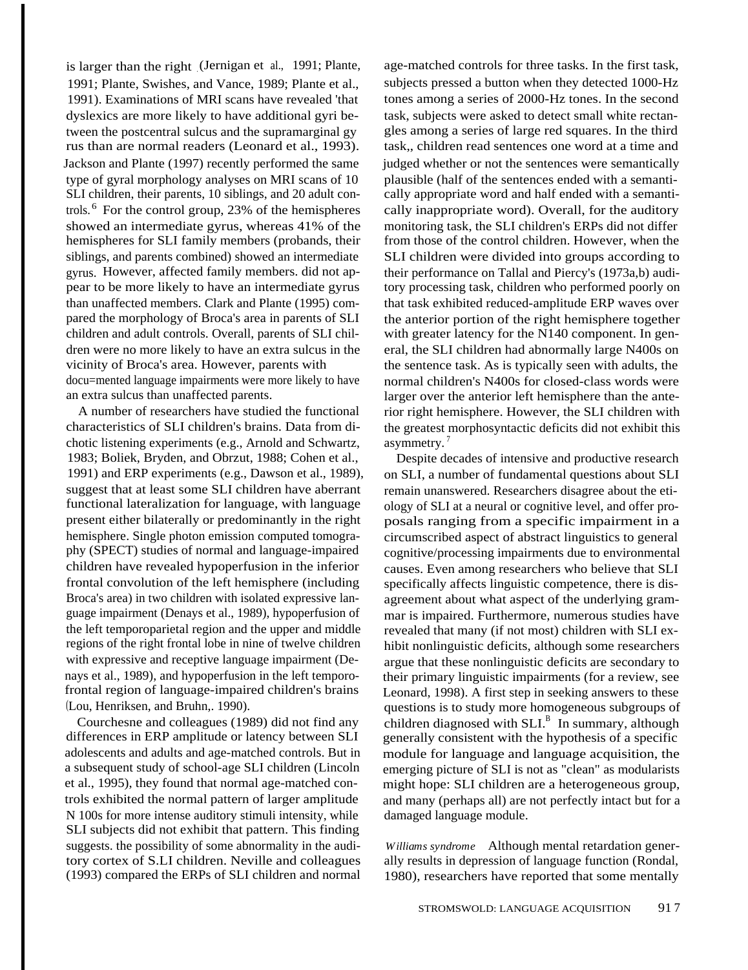is larger than the right (Jernigan et al., 1991; Plante, 1991; Plante, Swishes, and Vance, 1989; Plante et al., 1991). Examinations of MRI scans have revealed 'that dyslexics are more likely to have additional gyri between the postcentral sulcus and the supramarginal gy rus than are normal readers (Leonard et al., 1993). Jackson and Plante (1997) recently performed the same type of gyral morphology analyses on MRI scans of 10 SLI children, their parents, 10 siblings, and 20 adult controls. <sup>6</sup> For the control group, 23% of the hemispheres showed an intermediate gyrus, whereas 41% of the hemispheres for SLI family members (probands, their siblings, and parents combined) showed an intermediate gyrus. However, affected family members. did not appear to be more likely to have an intermediate gyrus than unaffected members. Clark and Plante (1995) compared the morphology of Broca's area in parents of SLI children and adult controls. Overall, parents of SLI children were no more likely to have an extra sulcus in the vicinity of Broca's area. However, parents with docu=mented language impairments were more likely to have an extra sulcus than unaffected parents.

A number of researchers have studied the functional characteristics of SLI children's brains. Data from dichotic listening experiments (e.g., Arnold and Schwartz, 1983; Boliek, Bryden, and Obrzut, 1988; Cohen et al., 1991) and ERP experiments (e.g., Dawson et al., 1989), suggest that at least some SLI children have aberrant functional lateralization for language, with language present either bilaterally or predominantly in the right hemisphere. Single photon emission computed tomography (SPECT) studies of normal and language-impaired children have revealed hypoperfusion in the inferior frontal convolution of the left hemisphere (including Broca's area) in two children with isolated expressive language impairment (Denays et al., 1989), hypoperfusion of the left temporoparietal region and the upper and middle regions of the right frontal lobe in nine of twelve children with expressive and receptive language impairment (Denays et al., 1989), and hypoperfusion in the left temporofrontal region of language-impaired children's brains (Lou, Henriksen, and Bruhn,. 1990).

Courchesne and colleagues (1989) did not find any differences in ERP amplitude or latency between SLI adolescents and adults and age-matched controls. But in a subsequent study of school-age SLI children (Lincoln et al., 1995), they found that normal age-matched controls exhibited the normal pattern of larger amplitude N 100s for more intense auditory stimuli intensity, while SLI subjects did not exhibit that pattern. This finding suggests. the possibility of some abnormality in the auditory cortex of S.LI children. Neville and colleagues (1993) compared the ERPs of SLI children and normal

age-matched controls for three tasks. In the first task, subjects pressed a button when they detected 1000-Hz tones among a series of 2000-Hz tones. In the second task, subjects were asked to detect small white rectangles among a series of large red squares. In the third task,, children read sentences one word at a time and judged whether or not the sentences were semantically plausible (half of the sentences ended with a semantically appropriate word and half ended with a semantically inappropriate word). Overall, for the auditory monitoring task, the SLI children's ERPs did not differ from those of the control children. However, when the SLI children were divided into groups according to their performance on Tallal and Piercy's (1973a,b) auditory processing task, children who performed poorly on that task exhibited reduced-amplitude ERP waves over the anterior portion of the right hemisphere together with greater latency for the N140 component. In general, the SLI children had abnormally large N400s on the sentence task. As is typically seen with adults, the normal children's N400s for closed-class words were larger over the anterior left hemisphere than the anterior right hemisphere. However, the SLI children with the greatest morphosyntactic deficits did not exhibit this asymmetry. <sup>7</sup>

Despite decades of intensive and productive research on SLI, a number of fundamental questions about SLI remain unanswered. Researchers disagree about the etiology of SLI at a neural or cognitive level, and offer proposals ranging from a specific impairment in a circumscribed aspect of abstract linguistics to general cognitive/processing impairments due to environmental causes. Even among researchers who believe that SLI specifically affects linguistic competence, there is disagreement about what aspect of the underlying grammar is impaired. Furthermore, numerous studies have revealed that many (if not most) children with SLI exhibit nonlinguistic deficits, although some researchers argue that these nonlinguistic deficits are secondary to their primary linguistic impairments (for a review, see Leonard, 1998). A first step in seeking answers to these questions is to study more homogeneous subgroups of children diagnosed with  $SLI$ <sup>B</sup> In summary, although generally consistent with the hypothesis of a specific module for language and language acquisition, the emerging picture of SLI is not as "clean" as modularists might hope: SLI children are a heterogeneous group, and many (perhaps all) are not perfectly intact but for a damaged language module.

*Williams syndrome* Although mental retardation generally results in depression of language function (Rondal, 1980), researchers have reported that some mentally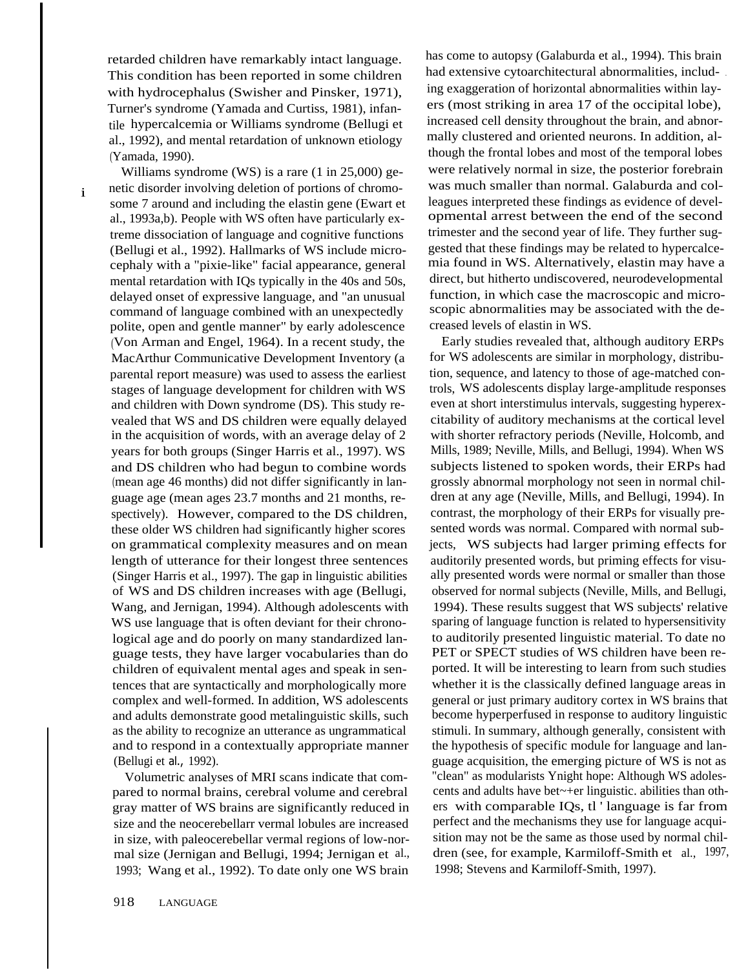retarded children have remarkably intact language. This condition has been reported in some children with hydrocephalus (Swisher and Pinsker, 1971), Turner's syndrome (Yamada and Curtiss, 1981), infantile hypercalcemia or Williams syndrome (Bellugi et al., 1992), and mental retardation of unknown etiology (Yamada, 1990).

i

Williams syndrome (WS) is a rare  $(1 \text{ in } 25,000)$  genetic disorder involving deletion of portions of chromosome 7 around and including the elastin gene (Ewart et al., 1993a,b). People with WS often have particularly extreme dissociation of language and cognitive functions (Bellugi et al., 1992). Hallmarks of WS include microcephaly with a "pixie-like" facial appearance, general mental retardation with IQs typically in the 40s and 50s, delayed onset of expressive language, and "an unusual command of language combined with an unexpectedly polite, open and gentle manner" by early adolescence (Von Arman and Engel, 1964). In a recent study, the MacArthur Communicative Development Inventory (a parental report measure) was used to assess the earliest stages of language development for children with WS and children with Down syndrome (DS). This study revealed that WS and DS children were equally delayed in the acquisition of words, with an average delay of 2 years for both groups (Singer Harris et al., 1997). WS and DS children who had begun to combine words (mean age 46 months) did not differ significantly in language age (mean ages 23.7 months and 21 months, respectively). However, compared to the DS children, these older WS children had significantly higher scores on grammatical complexity measures and on mean length of utterance for their longest three sentences (Singer Harris et al., 1997). The gap in linguistic abilities of WS and DS children increases with age (Bellugi, Wang, and Jernigan, 1994). Although adolescents with WS use language that is often deviant for their chronological age and do poorly on many standardized language tests, they have larger vocabularies than do children of equivalent mental ages and speak in sentences that are syntactically and morphologically more complex and well-formed. In addition, WS adolescents and adults demonstrate good metalinguistic skills, such as the ability to recognize an utterance as ungrammatical and to respond in a contextually appropriate manner (Bellugi et al., 1992).

Volumetric analyses of MRI scans indicate that compared to normal brains, cerebral volume and cerebral gray matter of WS brains are significantly reduced in size and the neocerebellarr vermal lobules are increased in size, with paleocerebellar vermal regions of low-normal size (Jernigan and Bellugi, 1994; Jernigan et al., 1993; Wang et al., 1992). To date only one WS brain

has come to autopsy (Galaburda et al., 1994). This brain had extensive cytoarchitectural abnormalities, includ- . ing exaggeration of horizontal abnormalities within layers (most striking in area 17 of the occipital lobe), increased cell density throughout the brain, and abnormally clustered and oriented neurons. In addition, although the frontal lobes and most of the temporal lobes were relatively normal in size, the posterior forebrain was much smaller than normal. Galaburda and colleagues interpreted these findings as evidence of developmental arrest between the end of the second trimester and the second year of life. They further suggested that these findings may be related to hypercalcemia found in WS. Alternatively, elastin may have a direct, but hitherto undiscovered, neurodevelopmental function, in which case the macroscopic and microscopic abnormalities may be associated with the decreased levels of elastin in WS.

Early studies revealed that, although auditory ERPs for WS adolescents are similar in morphology, distribution, sequence, and latency to those of age-matched controls, WS adolescents display large-amplitude responses even at short interstimulus intervals, suggesting hyperexcitability of auditory mechanisms at the cortical level with shorter refractory periods (Neville, Holcomb, and Mills, 1989; Neville, Mills, and Bellugi, 1994). When WS subjects listened to spoken words, their ERPs had grossly abnormal morphology not seen in normal children at any age (Neville, Mills, and Bellugi, 1994). In contrast, the morphology of their ERPs for visually presented words was normal. Compared with normal subjects, WS subjects had larger priming effects for auditorily presented words, but priming effects for visually presented words were normal or smaller than those observed for normal subjects (Neville, Mills, and Bellugi, 1994). These results suggest that WS subjects' relative sparing of language function is related to hypersensitivity to auditorily presented linguistic material. To date no PET or SPECT studies of WS children have been reported. It will be interesting to learn from such studies whether it is the classically defined language areas in general or just primary auditory cortex in WS brains that become hyperperfused in response to auditory linguistic stimuli. In summary, although generally, consistent with the hypothesis of specific module for language and language acquisition, the emerging picture of WS is not as "clean" as modularists Ynight hope: Although WS adolescents and adults have bet~+er linguistic. abilities than others with comparable IQs, tl ' language is far from perfect and the mechanisms they use for language acquisition may not be the same as those used by normal children (see, for example, Karmiloff-Smith et al., 1997, 1998; Stevens and Karmiloff-Smith, 1997).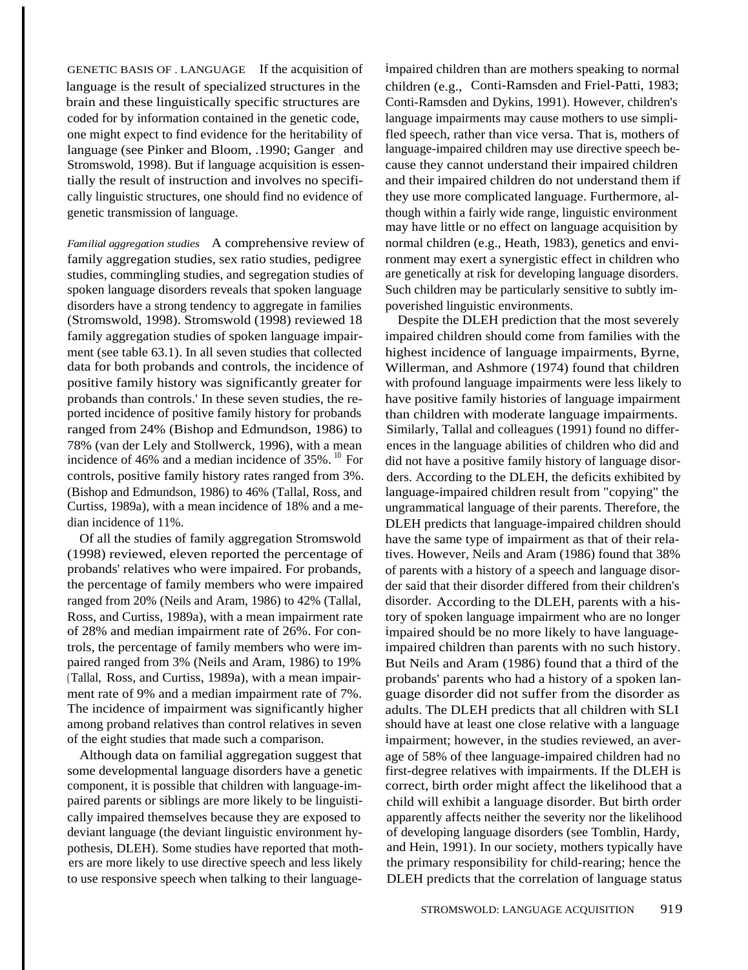GENETIC BASIS OF . LANGUAGE If the acquisition of language is the result of specialized structures in the brain and these linguistically specific structures are coded for by information contained in the genetic code, one might expect to find evidence for the heritability of language (see Pinker and Bloom, .1990; Ganger and Stromswold, 1998). But if language acquisition is essentially the result of instruction and involves no specifically linguistic structures, one should find no evidence of genetic transmission of language.

*Familial aggregation studies* A comprehensive review of family aggregation studies, sex ratio studies, pedigree studies, commingling studies, and segregation studies of spoken language disorders reveals that spoken language disorders have a strong tendency to aggregate in families (Stromswold, 1998). Stromswold (1998) reviewed 18 family aggregation studies of spoken language impairment (see table 63.1). In all seven studies that collected data for both probands and controls, the incidence of positive family history was significantly greater for probands than controls.' In these seven studies, the reported incidence of positive family history for probands ranged from 24% (Bishop and Edmundson, 1986) to 78% (van der Lely and Stollwerck, 1996), with a mean incidence of 46% and a median incidence of  $35\%$ . <sup>10</sup> For controls, positive family history rates ranged from 3%. (Bishop and Edmundson, 1986) to 46% (Tallal, Ross, and Curtiss, 1989a), with a mean incidence of 18% and a median incidence of 11%.

Of all the studies of family aggregation Stromswold (1998) reviewed, eleven reported the percentage of probands' relatives who were impaired. For probands, the percentage of family members who were impaired ranged from 20% (Neils and Aram, 1986) to 42% (Tallal, Ross, and Curtiss, 1989a), with a mean impairment rate of 28% and median impairment rate of 26%. For controls, the percentage of family members who were impaired ranged from 3% (Neils and Aram, 1986) to 19% (Tallal, Ross, and Curtiss, 1989a), with a mean impairment rate of 9% and a median impairment rate of 7%. The incidence of impairment was significantly higher among proband relatives than control relatives in seven of the eight studies that made such a comparison.

Although data on familial aggregation suggest that some developmental language disorders have a genetic component, it is possible that children with language-impaired parents or siblings are more likely to be linguistically impaired themselves because they are exposed to deviant language (the deviant linguistic environment hypothesis, DLEH). Some studies have reported that mothers are more likely to use directive speech and less likely to use responsive speech when talking to their language-

impaired children than are mothers speaking to normal children (e.g., Conti-Ramsden and Friel-Patti, 1983; Conti-Ramsden and Dykins, 1991). However, children's language impairments may cause mothers to use simplifled speech, rather than vice versa. That is, mothers of language-impaired children may use directive speech because they cannot understand their impaired children and their impaired children do not understand them if they use more complicated language. Furthermore, although within a fairly wide range, linguistic environment may have little or no effect on language acquisition by normal children (e.g., Heath, 1983), genetics and environment may exert a synergistic effect in children who are genetically at risk for developing language disorders. Such children may be particularly sensitive to subtly impoverished linguistic environments.

Despite the DLEH prediction that the most severely impaired children should come from families with the highest incidence of language impairments, Byrne, Willerman, and Ashmore (1974) found that children with profound language impairments were less likely to have positive family histories of language impairment than children with moderate language impairments. Similarly, Tallal and colleagues (1991) found no differences in the language abilities of children who did and did not have a positive family history of language disorders. According to the DLEH, the deficits exhibited by language-impaired children result from "copying" the ungrammatical language of their parents. Therefore, the DLEH predicts that language-impaired children should have the same type of impairment as that of their relatives. However, Neils and Aram (1986) found that 38% of parents with a history of a speech and language disorder said that their disorder differed from their children's disorder. According to the DLEH, parents with a history of spoken language impairment who are no longer impaired should be no more likely to have languageimpaired children than parents with no such history. But Neils and Aram (1986) found that a third of the probands' parents who had a history of a spoken language disorder did not suffer from the disorder as adults. The DLEH predicts that all children with SLI should have at least one close relative with a language impairment; however, in the studies reviewed, an average of 58% of thee language-impaired children had no first-degree relatives with impairments. If the DLEH is correct, birth order might affect the likelihood that a child will exhibit a language disorder. But birth order apparently affects neither the severity nor the likelihood of developing language disorders (see Tomblin, Hardy, and Hein, 1991). In our society, mothers typically have the primary responsibility for child-rearing; hence the DLEH predicts that the correlation of language status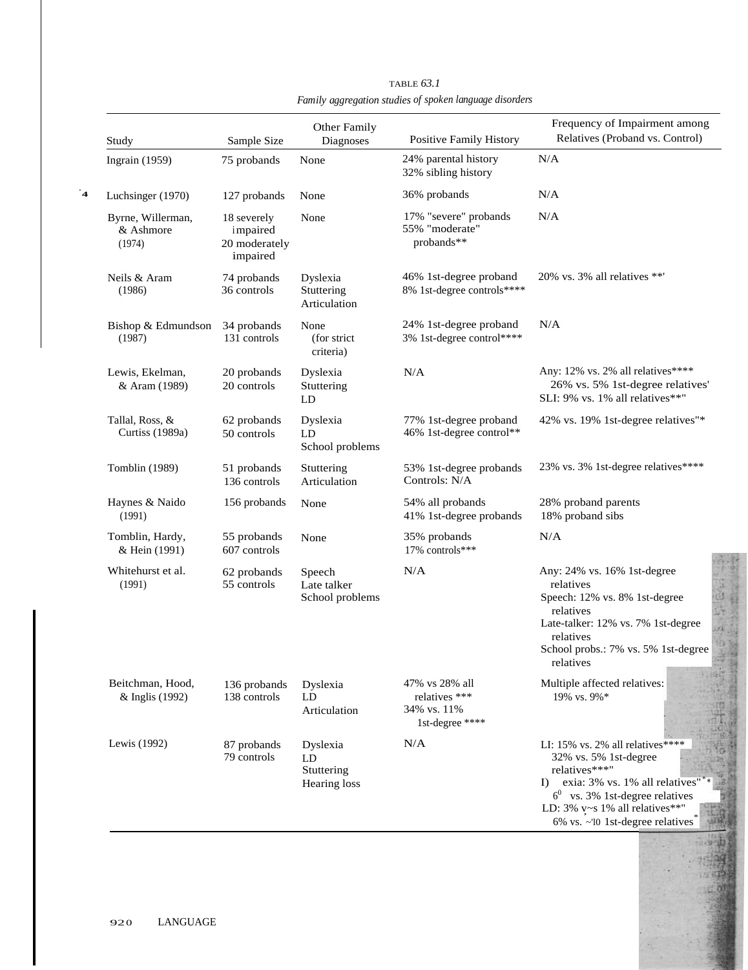| Study                                    | Sample Size                                          | Other Family<br>Diagnoses                    | Positive Family History                                           | Frequency of Impairment among<br>Relatives (Proband vs. Control)                                                                                                                                                                                  |
|------------------------------------------|------------------------------------------------------|----------------------------------------------|-------------------------------------------------------------------|---------------------------------------------------------------------------------------------------------------------------------------------------------------------------------------------------------------------------------------------------|
| Ingrain (1959)                           | 75 probands                                          | None                                         | 24% parental history<br>32% sibling history                       | N/A                                                                                                                                                                                                                                               |
| Luchsinger (1970)                        | 127 probands                                         | None                                         | 36% probands                                                      | N/A                                                                                                                                                                                                                                               |
| Byrne, Willerman,<br>& Ashmore<br>(1974) | 18 severely<br>impaired<br>20 moderately<br>impaired | None                                         | 17% "severe" probands<br>55% "moderate"<br>probands**             | N/A                                                                                                                                                                                                                                               |
| Neils & Aram<br>(1986)                   | 74 probands<br>36 controls                           | Dyslexia<br>Stuttering<br>Articulation       | 46% 1st-degree proband<br>8% 1st-degree controls****              | 20% vs. 3% all relatives $**'$                                                                                                                                                                                                                    |
| Bishop & Edmundson<br>(1987)             | 34 probands<br>131 controls                          | None<br>(for strict<br>criteria)             | 24% 1st-degree proband<br>3% 1st-degree control*****              | N/A                                                                                                                                                                                                                                               |
| Lewis, Ekelman,<br>& Aram (1989)         | 20 probands<br>20 controls                           | Dyslexia<br>Stuttering<br>LD                 | N/A                                                               | Any: 12% vs. 2% all relatives****<br>26% vs. 5% 1st-degree relatives'<br>SLI: 9% vs. 1% all relatives**"                                                                                                                                          |
| Tallal, Ross, &<br>Curtiss (1989a)       | 62 probands<br>50 controls                           | Dyslexia<br>LD<br>School problems            | 77% 1st-degree proband<br>46% 1st-degree control**                | 42% vs. 19% 1st-degree relatives"*                                                                                                                                                                                                                |
| Tomblin (1989)                           | 51 probands<br>136 controls                          | Stuttering<br>Articulation                   | 53% 1st-degree probands<br>Controls: N/A                          | 23% vs. 3% 1st-degree relatives****                                                                                                                                                                                                               |
| Haynes & Naido<br>(1991)                 | 156 probands                                         | None                                         | 54% all probands<br>41% 1st-degree probands                       | 28% proband parents<br>18% proband sibs                                                                                                                                                                                                           |
| Tomblin, Hardy,<br>& Hein (1991)         | 55 probands<br>607 controls                          | None                                         | 35% probands<br>17% controls***                                   | N/A                                                                                                                                                                                                                                               |
| Whitehurst et al.<br>(1991)              | 62 probands<br>55 controls                           | Speech<br>Late talker<br>School problems     | N/A                                                               | Any: 24% vs. 16% 1st-degree<br>relatives<br>Speech: 12% vs. 8% 1st-degree<br>relatives<br>Late-talker: 12% vs. 7% 1st-degree<br>relatives<br>School probs.: 7% vs. 5% 1st-degree<br>relatives                                                     |
| Beitchman, Hood,<br>& Inglis (1992)      | 136 probands<br>138 controls                         | Dyslexia<br>LD<br>Articulation               | 47% vs 28% all<br>relatives ***<br>34% vs. 11%<br>1st-degree **** | Multiple affected relatives:<br>19% vs. 9%*                                                                                                                                                                                                       |
| Lewis (1992)                             | 87 probands<br>79 controls                           | Dyslexia<br>LD<br>Stuttering<br>Hearing loss | N/A                                                               | LI: 15% vs. 2% all relatives****<br>32% vs. 5% 1st-degree<br>relatives***"<br>exia: 3% vs. 1% all relatives" <sup>**</sup><br>$\Gamma$<br>$6^0$ vs. 3% 1st-degree relatives<br>LD: 3% v~s 1% all relatives**"<br>6% vs. ~'10 1st-degree relatives |

| TABLE $63.1$                                            |
|---------------------------------------------------------|
| Family aggregation studies of spoken language disorders |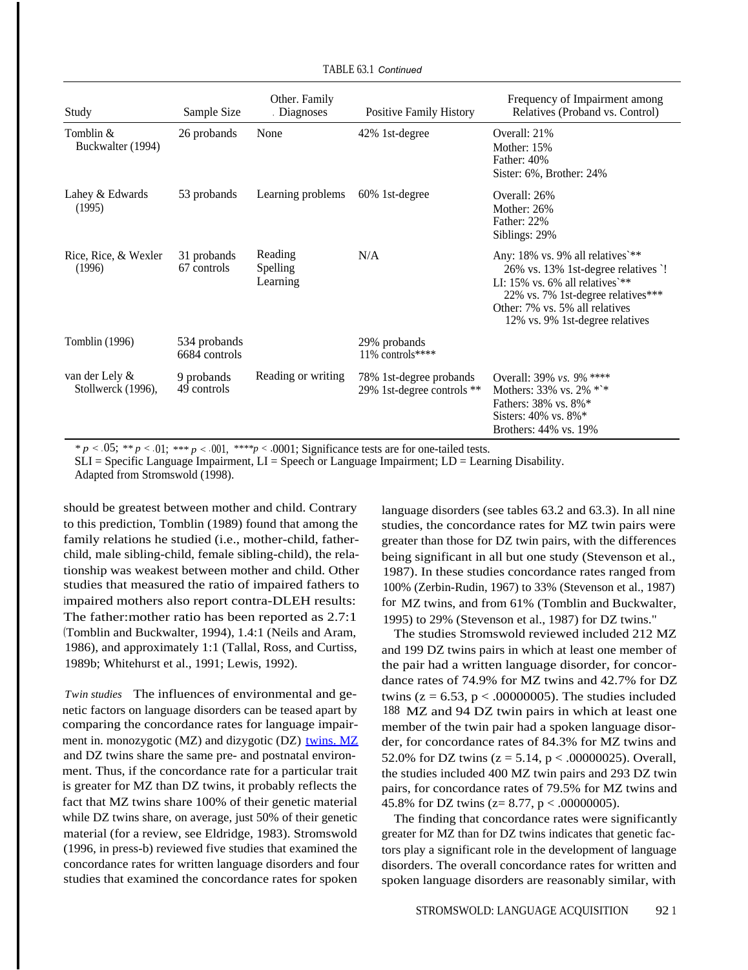TABLE 63.1 *Continued*

| Study                                | Sample Size                   | Other. Family<br>. Diagnoses    | Positive Family History                               | Frequency of Impairment among<br>Relatives (Proband vs. Control)                                                                                                                                                         |
|--------------------------------------|-------------------------------|---------------------------------|-------------------------------------------------------|--------------------------------------------------------------------------------------------------------------------------------------------------------------------------------------------------------------------------|
| Tomblin $\&$<br>Buckwalter (1994)    | 26 probands                   | None                            | 42% 1st-degree                                        | Overall: 21%<br>Mother: 15%<br>Father: 40%<br>Sister: 6%, Brother: 24%                                                                                                                                                   |
| Lahey & Edwards<br>(1995)            | 53 probands                   | Learning problems               | 60% 1st-degree                                        | Overall: 26%<br>Mother: 26%<br><b>Father: 22%</b><br>Siblings: 29%                                                                                                                                                       |
| Rice, Rice, & Wexler<br>(1996)       | 31 probands<br>67 controls    | Reading<br>Spelling<br>Learning | N/A                                                   | Any: 18% vs. 9% all relatives **<br>26% vs. 13% 1st-degree relatives '!<br>LI: $15\%$ vs. 6% all relatives **<br>22% vs. 7% 1st-degree relatives***<br>Other: 7% vs. 5% all relatives<br>12% vs. 9% 1st-degree relatives |
| Tomblin (1996)                       | 534 probands<br>6684 controls |                                 | 29% probands<br>$11\%$ controls****                   |                                                                                                                                                                                                                          |
| van der Lely &<br>Stollwerck (1996), | 9 probands<br>49 controls     | Reading or writing              | 78% 1st-degree probands<br>29% 1st-degree controls ** | Overall: 39% <i>vs.</i> 9% ****<br>Mothers: 33% vs. 2% ***<br>Fathers: 38% vs. 8%*<br>Sisters: $40\%$ vs. $8\%$ *<br>Brothers: 44% vs. 19%                                                                               |

*\* p <* . 05; *\*\* p <* . 01; *\*\*\* p <* . 001, *\*\*\*\*p <* .0001; Significance tests are for one-tailed tests.

SLI = Specific Language Impairment, LI = Speech or Language Impairment; LD = Learning Disability. Adapted from Stromswold (1998).

should be greatest between mother and child. Contrary to this prediction, Tomblin (1989) found that among the family relations he studied (i.e., mother-child, fatherchild, male sibling-child, female sibling-child), the relationship was weakest between mother and child. Other studies that measured the ratio of impaired fathers to impaired mothers also report contra-DLEH results: The father:mother ratio has been reported as 2.7:1 (Tomblin and Buckwalter, 1994), 1.4:1 (Neils and Aram, 1986), and approximately 1:1 (Tallal, Ross, and Curtiss, 1989b; Whitehurst et al., 1991; Lewis, 1992).

*Twin studies* The influences of environmental and genetic factors on language disorders can be teased apart by comparing the concordance rates for language impairment in. monozygotic (MZ) and dizygotic (DZ) [twins. MZ](http://twins.MZ) and DZ twins share the same pre- and postnatal environment. Thus, if the concordance rate for a particular trait is greater for MZ than DZ twins, it probably reflects the fact that MZ twins share 100% of their genetic material while DZ twins share, on average, just 50% of their genetic material (for a review, see Eldridge, 1983). Stromswold (1996, in press-b) reviewed five studies that examined the concordance rates for written language disorders and four studies that examined the concordance rates for spoken

language disorders (see tables 63.2 and 63.3). In all nine studies, the concordance rates for MZ twin pairs were greater than those for DZ twin pairs, with the differences being significant in all but one study (Stevenson et al., 1987). In these studies concordance rates ranged from 100% (Zerbin-Rudin, 1967) to 33% (Stevenson et al., 1987) for MZ twins, and from 61% (Tomblin and Buckwalter, 1995) to 29% (Stevenson et al., 1987) for DZ twins."

The studies Stromswold reviewed included 212 MZ and 199 DZ twins pairs in which at least one member of the pair had a written language disorder, for concordance rates of 74.9% for MZ twins and 42.7% for DZ twins ( $z = 6.53$ ,  $p < .00000005$ ). The studies included 188 MZ and 94 DZ twin pairs in which at least one member of the twin pair had a spoken language disorder, for concordance rates of 84.3% for MZ twins and 52.0% for DZ twins ( $z = 5.14$ ,  $p < .00000025$ ). Overall, the studies included 400 MZ twin pairs and 293 DZ twin pairs, for concordance rates of 79.5% for MZ twins and 45.8% for DZ twins (z= 8.77, p < .00000005).

The finding that concordance rates were significantly greater for MZ than for DZ twins indicates that genetic factors play a significant role in the development of language disorders. The overall concordance rates for written and spoken language disorders are reasonably similar, with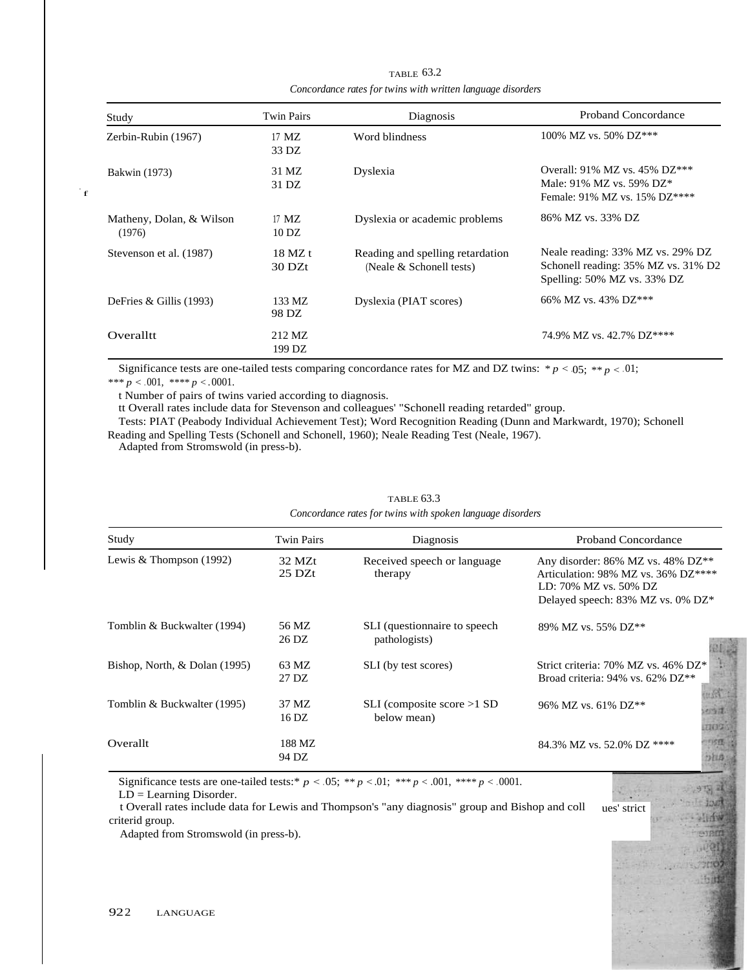| Study                              | <b>Twin Pairs</b>                      | Diagnosis                                                    | <b>Proband Concordance</b>                                                                             |
|------------------------------------|----------------------------------------|--------------------------------------------------------------|--------------------------------------------------------------------------------------------------------|
| Zerbin-Rubin (1967)                | 17 MZ<br>33 DZ                         | Word blindness                                               | 100% MZ vs. 50% DZ***                                                                                  |
| Bakwin (1973)                      | 31 MZ<br>31 DZ                         | Dyslexia                                                     | Overall: 91% MZ vs. 45% DZ***<br>Male: 91% MZ vs. 59% DZ*<br>Female: 91% MZ vs. 15% DZ****             |
| Matheny, Dolan, & Wilson<br>(1976) | $17 \text{ MZ}$<br>$10\,\mathrm{D}Z$   | Dyslexia or academic problems                                | 86% MZ vs. 33% DZ                                                                                      |
| Stevenson et al. (1987)            | 18 MZ t<br>$30\overline{\mathrm{DZt}}$ | Reading and spelling retardation<br>(Neale & Schonell tests) | Neale reading: 33% MZ vs. 29% DZ<br>Schonell reading: 35% MZ vs. 31% D2<br>Spelling: 50% MZ vs. 33% DZ |
| DeFries $&$ Gillis (1993)          | 133 MZ<br>98 DZ                        | Dyslexia (PIAT scores)                                       | 66% MZ vs. 43% DZ***                                                                                   |
| Overalltt                          | 212 MZ<br>199 DZ                       |                                                              | 74.9% MZ vs. 42.7% DZ****                                                                              |

TABLE 63.2 *Concordance rates for twins with written language disorders*

Significance tests are one-tailed tests comparing concordance rates for MZ and DZ twins: *\* p <* .05; *\*\* p <* . 01; *\*\*\* p <* . 001, *\*\*\*\* p <* .0001.

t Number of pairs of twins varied according to diagnosis.

tt Overall rates include data for Stevenson and colleagues' "Schonell reading retarded" group.

Tests: PIAT (Peabody Individual Achievement Test); Word Recognition Reading (Dunn and Markwardt, 1970); Schonell Reading and Spelling Tests (Schonell and Schonell, 1960); Neale Reading Test (Neale, 1967).

TABLE 63.3

Adapted from Stromswold (in press-b).

. f

| Concordance rates for twins with spoken language disorders |                                       |                                                |                                                                                                                                        |  |  |
|------------------------------------------------------------|---------------------------------------|------------------------------------------------|----------------------------------------------------------------------------------------------------------------------------------------|--|--|
| Study                                                      | <b>Twin Pairs</b>                     | Diagnosis                                      | <b>Proband Concordance</b>                                                                                                             |  |  |
| Lewis & Thompson $(1992)$                                  | 32 MZt<br>$25\overline{\mathrm{DZt}}$ | Received speech or language<br>therapy         | Any disorder: 86% MZ vs. 48% DZ**<br>Articulation: 98% MZ vs. 36% DZ****<br>LD: 70% MZ vs. 50% DZ<br>Delayed speech: 83% MZ vs. 0% DZ* |  |  |
| Tomblin & Buckwalter (1994)                                | 56 MZ<br>26 DZ                        | SLI (questionnaire to speech)<br>pathologists) | 89% MZ vs. 55% DZ**                                                                                                                    |  |  |
| Bishop, North, & Dolan (1995)                              | 63 MZ<br>27 DZ                        | SLI (by test scores)                           | Strict criteria: 70% MZ vs. 46% DZ*<br>Broad criteria: $94\%$ vs. 62% DZ**<br>Thur                                                     |  |  |
| Tomblin & Buckwalter (1995)                                | 37 MZ<br>16 DZ                        | $SLI$ (composite score $>1$ SD<br>below mean)  | 96% MZ vs. 61% DZ**<br><b>erant</b><br>1100                                                                                            |  |  |
| Overallt                                                   | 188 MZ<br>94 DZ                       |                                                | 图频<br>84.3% MZ vs. 52.0% DZ ****<br>つれ時                                                                                                |  |  |

Significance tests are one-tailed tests:\*  $p < .05$ ; \*\*  $p < .01$ ; \*\*\*  $p < .001$ , \*\*\*\*  $p < .0001$ .

LD = Learning Disorder.

t Overall rates include data for Lewis and Thompson's "any diagnosis" group and Bishop and coll ues' strict criterid group.

Adapted from Stromswold (in press-b).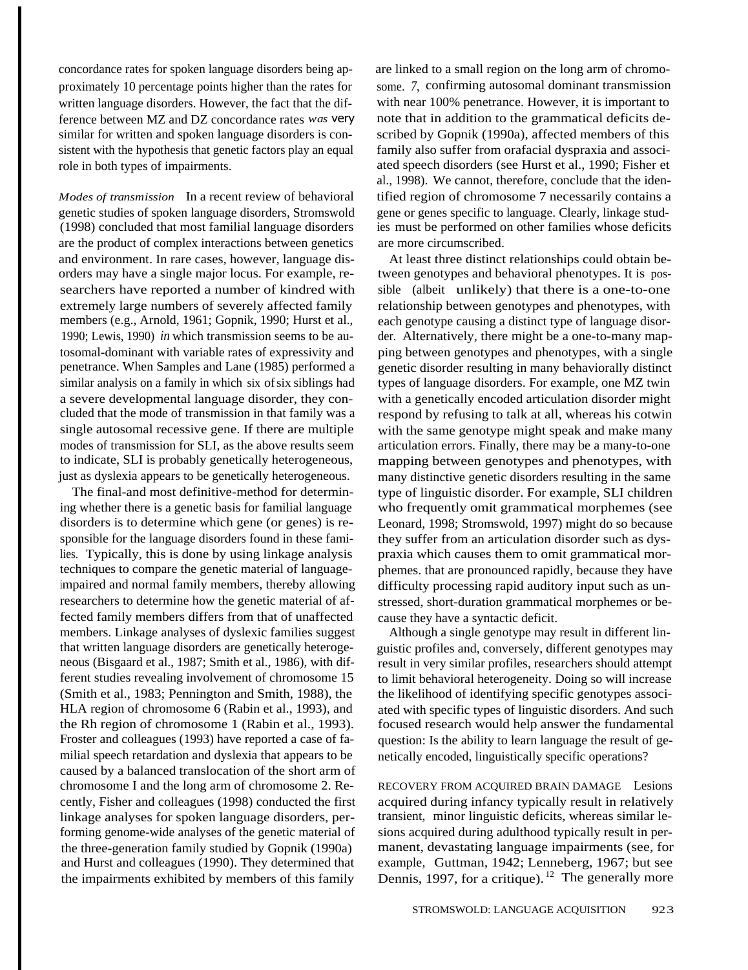concordance rates for spoken language disorders being approximately 10 percentage points higher than the rates for written language disorders. However, the fact that the difference between MZ and DZ concordance rates *was* very similar for written and spoken language disorders is consistent with the hypothesis that genetic factors play an equal role in both types of impairments.

*Modes of transmission* In a recent review of behavioral genetic studies of spoken language disorders, Stromswold (1998) concluded that most familial language disorders are the product of complex interactions between genetics and environment. In rare cases, however, language disorders may have a single major locus. For example, researchers have reported a number of kindred with extremely large numbers of severely affected family members (e.g., Arnold, 1961; Gopnik, 1990; Hurst et al., 1990; Lewis, 1990) *in* which transmission seems to be autosomal-dominant with variable rates of expressivity and penetrance. When Samples and Lane (1985) performed a similar analysis on a family in which six of six siblings had a severe developmental language disorder, they concluded that the mode of transmission in that family was a single autosomal recessive gene. If there are multiple modes of transmission for SLI, as the above results seem to indicate, SLI is probably genetically heterogeneous, just as dyslexia appears to be genetically heterogeneous.

The final-and most definitive-method for determining whether there is a genetic basis for familial language disorders is to determine which gene (or genes) is responsible for the language disorders found in these families. Typically, this is done by using linkage analysis techniques to compare the genetic material of languageimpaired and normal family members, thereby allowing researchers to determine how the genetic material of affected family members differs from that of unaffected members. Linkage analyses of dyslexic families suggest that written language disorders are genetically heterogeneous (Bisgaard et al., 1987; Smith et al., 1986), with different studies revealing involvement of chromosome 15 (Smith et al., 1983; Pennington and Smith, 1988), the HLA region of chromosome 6 (Rabin et al., 1993), and the Rh region of chromosome 1 (Rabin et al., 1993). Froster and colleagues (1993) have reported a case of familial speech retardation and dyslexia that appears to be caused by a balanced translocation of the short arm of chromosome I and the long arm of chromosome 2. Recently, Fisher and colleagues (1998) conducted the first linkage analyses for spoken language disorders, performing genome-wide analyses of the genetic material of the three-generation family studied by Gopnik (1990a) and Hurst and colleagues (1990). They determined that the impairments exhibited by members of this family

are linked to a small region on the long arm of chromosome. *7,* confirming autosomal dominant transmission with near 100% penetrance. However, it is important to note that in addition to the grammatical deficits described by Gopnik (1990a), affected members of this family also suffer from orafacial dyspraxia and associated speech disorders (see Hurst et al., 1990; Fisher et al., 1998). We cannot, therefore, conclude that the identified region of chromosome 7 necessarily contains a gene or genes specific to language. Clearly, linkage studies must be performed on other families whose deficits are more circumscribed.

At least three distinct relationships could obtain between genotypes and behavioral phenotypes. It is possible (albeit unlikely) that there is a one-to-one relationship between genotypes and phenotypes, with each genotype causing a distinct type of language disorder. Alternatively, there might be a one-to-many mapping between genotypes and phenotypes, with a single genetic disorder resulting in many behaviorally distinct types of language disorders. For example, one MZ twin with a genetically encoded articulation disorder might respond by refusing to talk at all, whereas his cotwin with the same genotype might speak and make many articulation errors. Finally, there may be a many-to-one mapping between genotypes and phenotypes, with many distinctive genetic disorders resulting in the same type of linguistic disorder. For example, SLI children who frequently omit grammatical morphemes (see Leonard, 1998; Stromswold, 1997) might do so because they suffer from an articulation disorder such as dyspraxia which causes them to omit grammatical morphemes. that are pronounced rapidly, because they have difficulty processing rapid auditory input such as unstressed, short-duration grammatical morphemes or because they have a syntactic deficit.

Although a single genotype may result in different linguistic profiles and, conversely, different genotypes may result in very similar profiles, researchers should attempt to limit behavioral heterogeneity. Doing so will increase the likelihood of identifying specific genotypes associated with specific types of linguistic disorders. And such focused research would help answer the fundamental question: Is the ability to learn language the result of genetically encoded, linguistically specific operations?

RECOVERY FROM ACQUIRED BRAIN DAMAGE Lesions acquired during infancy typically result in relatively transient, minor linguistic deficits, whereas similar lesions acquired during adulthood typically result in permanent, devastating language impairments (see, for example, Guttman, 1942; Lenneberg, 1967; but see Dennis, 1997, for a critique). <sup>12</sup> The generally more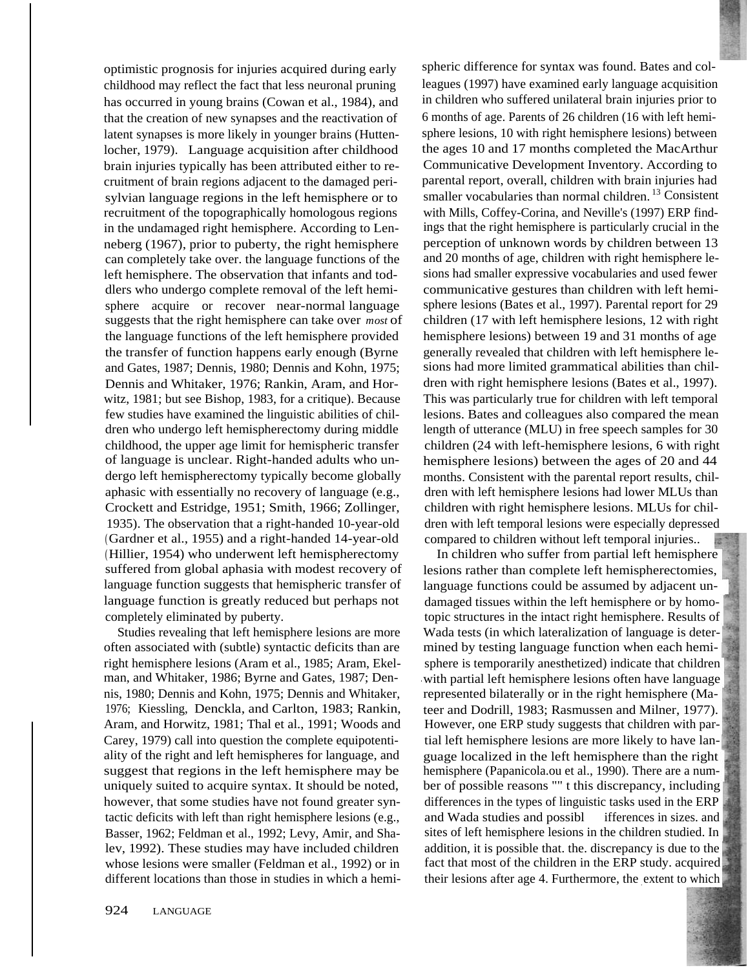optimistic prognosis for injuries acquired during early childhood may reflect the fact that less neuronal pruning has occurred in young brains (Cowan et al., 1984), and that the creation of new synapses and the reactivation of latent synapses is more likely in younger brains (Huttenlocher, 1979). Language acquisition after childhood brain injuries typically has been attributed either to recruitment of brain regions adjacent to the damaged perisylvian language regions in the left hemisphere or to recruitment of the topographically homologous regions in the undamaged right hemisphere. According to Lenneberg (1967), prior to puberty, the right hemisphere can completely take over. the language functions of the left hemisphere. The observation that infants and toddlers who undergo complete removal of the left hemisphere acquire or recover near-normal language suggests that the right hemisphere can take over *most* of the language functions of the left hemisphere provided the transfer of function happens early enough (Byrne and Gates, 1987; Dennis, 1980; Dennis and Kohn, 1975; Dennis and Whitaker, 1976; Rankin, Aram, and Horwitz, 1981; but see Bishop, 1983, for a critique). Because few studies have examined the linguistic abilities of children who undergo left hemispherectomy during middle childhood, the upper age limit for hemispheric transfer of language is unclear. Right-handed adults who undergo left hemispherectomy typically become globally aphasic with essentially no recovery of language (e.g., Crockett and Estridge, 1951; Smith, 1966; Zollinger, 1935). The observation that a right-handed 10-year-old (Gardner et al., 1955) and a right-handed 14-year-old (Hillier, 1954) who underwent left hemispherectomy suffered from global aphasia with modest recovery of language function suggests that hemispheric transfer of language function is greatly reduced but perhaps not completely eliminated by puberty.

Studies revealing that left hemisphere lesions are more often associated with (subtle) syntactic deficits than are right hemisphere lesions (Aram et al., 1985; Aram, Ekelman, and Whitaker, 1986; Byrne and Gates, 1987; Dennis, 1980; Dennis and Kohn, 1975; Dennis and Whitaker, 1976; Kiessling, Denckla, and Carlton, 1983; Rankin, Aram, and Horwitz, 1981; Thal et al., 1991; Woods and Carey, 1979) call into question the complete equipotentiality of the right and left hemispheres for language, and suggest that regions in the left hemisphere may be uniquely suited to acquire syntax. It should be noted, however, that some studies have not found greater syntactic deficits with left than right hemisphere lesions (e.g., Basser, 1962; Feldman et al., 1992; Levy, Amir, and Shalev, 1992). These studies may have included children whose lesions were smaller (Feldman et al., 1992) or in different locations than those in studies in which a hemi-

spheric difference for syntax was found. Bates and colleagues (1997) have examined early language acquisition in children who suffered unilateral brain injuries prior to 6 months of age. Parents of 26 children (16 with left hemisphere lesions, 10 with right hemisphere lesions) between the ages 10 and 17 months completed the MacArthur Communicative Development Inventory. According to parental report, overall, children with brain injuries had smaller vocabularies than normal children.<sup>13</sup> Consistent with Mills, Coffey-Corina, and Neville's (1997) ERP findings that the right hemisphere is particularly crucial in the perception of unknown words by children between 13 and 20 months of age, children with right hemisphere lesions had smaller expressive vocabularies and used fewer communicative gestures than children with left hemisphere lesions (Bates et al., 1997). Parental report for 29 children (17 with left hemisphere lesions, 12 with right hemisphere lesions) between 19 and 31 months of age generally revealed that children with left hemisphere lesions had more limited grammatical abilities than children with right hemisphere lesions (Bates et al., 1997). This was particularly true for children with left temporal lesions. Bates and colleagues also compared the mean length of utterance (MLU) in free speech samples for 30 children (24 with left-hemisphere lesions, 6 with right hemisphere lesions) between the ages of 20 and 44 months. Consistent with the parental report results, children with left hemisphere lesions had lower MLUs than children with right hemisphere lesions. MLUs for children with left temporal lesions were especially depressed compared to children without left temporal injuries..

In children who suffer from partial left hemisphere lesions rather than complete left hemispherectomies, language functions could be assumed by adjacent undamaged tissues within the left hemisphere or by homotopic structures in the intact right hemisphere. Results of Wada tests (in which lateralization of language is determined by testing language function when each hemisphere is temporarily anesthetized) indicate that children .with partial left hemisphere lesions often have language represented bilaterally or in the right hemisphere (Mateer and Dodrill, 1983; Rasmussen and Milner, 1977). However, one ERP study suggests that children with partial left hemisphere lesions are more likely to have language localized in the left hemisphere than the right hemisphere (Papanicola.ou et al., 1990). There are a number of possible reasons "" t this discrepancy, including differences in the types of linguistic tasks used in the ERP and Wada studies and possibl ifferences in sizes. and sites of left hemisphere lesions in the children studied. In addition, it is possible that. the. discrepancy is due to the fact that most of the children in the ERP study. acquired their lesions after age 4. Furthermore, the extent to which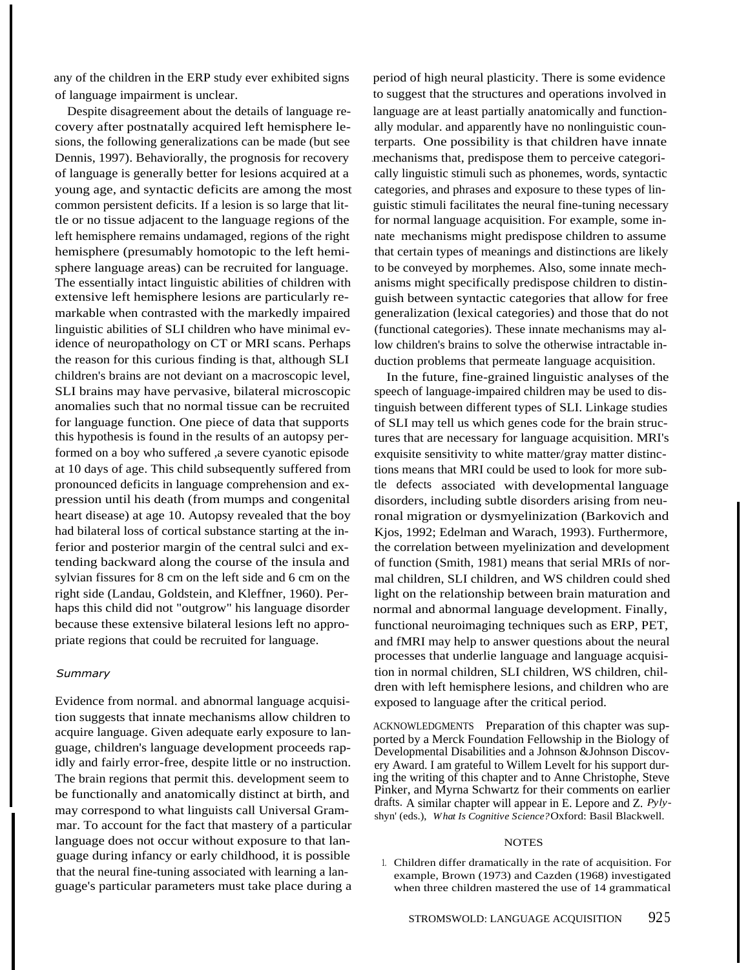any of the children in the ERP study ever exhibited signs of language impairment is unclear.

Despite disagreement about the details of language recovery after postnatally acquired left hemisphere lesions, the following generalizations can be made (but see Dennis, 1997). Behaviorally, the prognosis for recovery of language is generally better for lesions acquired at a young age, and syntactic deficits are among the most common persistent deficits. If a lesion is so large that little or no tissue adjacent to the language regions of the left hemisphere remains undamaged, regions of the right hemisphere (presumably homotopic to the left hemisphere language areas) can be recruited for language. The essentially intact linguistic abilities of children with extensive left hemisphere lesions are particularly remarkable when contrasted with the markedly impaired linguistic abilities of SLI children who have minimal evidence of neuropathology on CT or MRI scans. Perhaps the reason for this curious finding is that, although SLI children's brains are not deviant on a macroscopic level, SLI brains may have pervasive, bilateral microscopic anomalies such that no normal tissue can be recruited for language function. One piece of data that supports this hypothesis is found in the results of an autopsy performed on a boy who suffered ,a severe cyanotic episode at 10 days of age. This child subsequently suffered from pronounced deficits in language comprehension and expression until his death (from mumps and congenital heart disease) at age 10. Autopsy revealed that the boy had bilateral loss of cortical substance starting at the inferior and posterior margin of the central sulci and extending backward along the course of the insula and sylvian fissures for 8 cm on the left side and 6 cm on the right side (Landau, Goldstein, and Kleffner, 1960). Perhaps this child did not "outgrow" his language disorder because these extensive bilateral lesions left no appropriate regions that could be recruited for language.

## *Summary*

Evidence from normal. and abnormal language acquisition suggests that innate mechanisms allow children to acquire language. Given adequate early exposure to language, children's language development proceeds rapidly and fairly error-free, despite little or no instruction. The brain regions that permit this. development seem to be functionally and anatomically distinct at birth, and may correspond to what linguists call Universal Grammar. To account for the fact that mastery of a particular language does not occur without exposure to that language during infancy or early childhood, it is possible that the neural fine-tuning associated with learning a language's particular parameters must take place during a

period of high neural plasticity. There is some evidence to suggest that the structures and operations involved in language are at least partially anatomically and functionally modular. and apparently have no nonlinguistic counterparts. One possibility is that children have innate .mechanisms that, predispose them to perceive categorically linguistic stimuli such as phonemes, words, syntactic categories, and phrases and exposure to these types of linguistic stimuli facilitates the neural fine-tuning necessary for normal language acquisition. For example, some innate mechanisms might predispose children to assume that certain types of meanings and distinctions are likely to be conveyed by morphemes. Also, some innate mechanisms might specifically predispose children to distinguish between syntactic categories that allow for free generalization (lexical categories) and those that do not (functional categories). These innate mechanisms may allow children's brains to solve the otherwise intractable induction problems that permeate language acquisition.

In the future, fine-grained linguistic analyses of the speech of language-impaired children may be used to distinguish between different types of SLI. Linkage studies of SLI may tell us which genes code for the brain structures that are necessary for language acquisition. MRI's exquisite sensitivity to white matter/gray matter distinctions means that MRI could be used to look for more subtle defects associated with developmental language disorders, including subtle disorders arising from neuronal migration or dysmyelinization (Barkovich and Kjos, 1992; Edelman and Warach, 1993). Furthermore, the correlation between myelinization and development of function (Smith, 1981) means that serial MRIs of normal children, SLI children, and WS children could shed light on the relationship between brain maturation and normal and abnormal language development. Finally, functional neuroimaging techniques such as ERP, PET, and fMRI may help to answer questions about the neural processes that underlie language and language acquisition in normal children, SLI children, WS children, children with left hemisphere lesions, and children who are exposed to language after the critical period.

ACKNOWLEDGMENTS Preparation of this chapter was supported by a Merck Foundation Fellowship in the Biology of Developmental Disabilities and a Johnson &Johnson Discovery Award. I am grateful to Willem Levelt for his support during the writing of this chapter and to Anne Christophe, Steve Pinker, and Myrna Schwartz for their comments on earlier drafts. A similar chapter will appear in E. Lepore and Z. *Pyly*shyn' (eds.), *What Is Cognitive Science?*Oxford: Basil Blackwell.

### **NOTES**

1. Children differ dramatically in the rate of acquisition. For example, Brown (1973) and Cazden (1968) investigated when three children mastered the use of 14 grammatical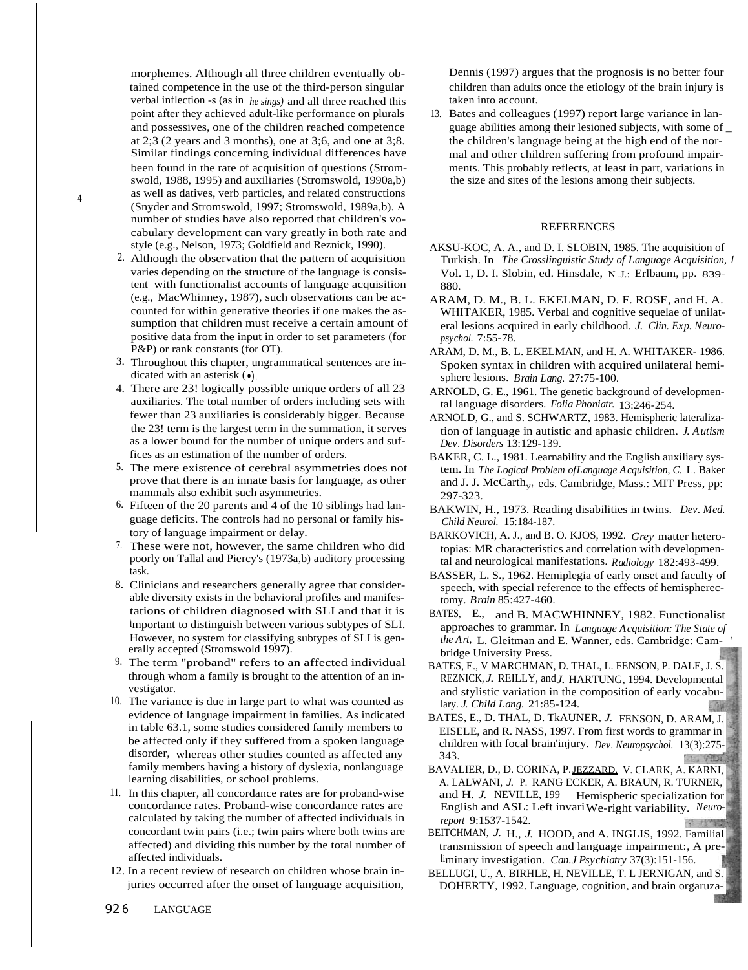morphemes. Although all three children eventually obtained competence in the use of the third-person singular verbal inflection -s (as in *he sings)* and all three reached this point after they achieved adult-like performance on plurals and possessives, one of the children reached competence at 2;3 (2 years and 3 months), one at 3;6, and one at 3;8. Similar findings concerning individual differences have been found in the rate of acquisition of questions (Stromswold, 1988, 1995) and auxiliaries (Stromswold, 1990a,b) as well as datives, verb particles, and related constructions (Snyder and Stromswold, 1997; Stromswold, 1989a,b). A number of studies have also reported that children's vocabulary development can vary greatly in both rate and style (e.g., Nelson, 1973; Goldfield and Reznick, 1990).

4

- 2. Although the observation that the pattern of acquisition varies depending on the structure of the language is consistent with functionalist accounts of language acquisition (e.g., MacWhinney, 1987), such observations can be accounted for within generative theories if one makes the assumption that children must receive a certain amount of positive data from the input in order to set parameters (for P&P) or rank constants (for OT).
- 3. Throughout this chapter, ungrammatical sentences are indicated with an asterisk (•).
- 4. There are 23! logically possible unique orders of all 23 auxiliaries. The total number of orders including sets with fewer than 23 auxiliaries is considerably bigger. Because the 23! term is the largest term in the summation, it serves as a lower bound for the number of unique orders and suffices as an estimation of the number of orders.
- 5. The mere existence of cerebral asymmetries does not prove that there is an innate basis for language, as other mammals also exhibit such asymmetries.
- 6. Fifteen of the 20 parents and 4 of the 10 siblings had language deficits. The controls had no personal or family history of language impairment or delay.
- 7. These were not, however, the same children who did poorly on Tallal and Piercy's (1973a,b) auditory processing task.
- 8. Clinicians and researchers generally agree that considerable diversity exists in the behavioral profiles and manifestations of children diagnosed with SLI and that it is important to distinguish between various subtypes of SLI. However, no system for classifying subtypes of SLI is generally accepted (Stromswold 1997).
- 9. The term "proband" refers to an affected individual through whom a family is brought to the attention of an investigator.
- 10. The variance is due in large part to what was counted as evidence of language impairment in families. As indicated in table 63.1, some studies considered family members to be affected only if they suffered from a spoken language disorder, whereas other studies counted as affected any family members having a history of dyslexia, nonlanguage learning disabilities, or school problems.
- 11. In this chapter, all concordance rates are for proband-wise concordance rates. Proband-wise concordance rates are calculated by taking the number of affected individuals in concordant twin pairs (i.e.; twin pairs where both twins are affected) and dividing this number by the total number of affected individuals.
- 12. In a recent review of research on children whose brain injuries occurred after the onset of language acquisition,

Dennis (1997) argues that the prognosis is no better four children than adults once the etiology of the brain injury is taken into account.

13. Bates and colleagues (1997) report large variance in language abilities among their lesioned subjects, with some of \_ the children's language being at the high end of the normal and other children suffering from profound impairments. This probably reflects, at least in part, variations in the size and sites of the lesions among their subjects.

#### REFERENCES

- AKSU-KOC, A. A., and D. I. SLOBIN, 1985. The acquisition of Turkish. In *The Crosslinguistic Study of Language Acquisition, 1* Vol. 1, D. I. Slobin, ed. Hinsdale, N .J.: Erlbaum, pp. 839- 880.
- ARAM, D. M., B. L. EKELMAN, D. F. ROSE, and H. A. WHITAKER, 1985. Verbal and cognitive sequelae of unilateral lesions acquired in early childhood. *J. Clin. Exp. Neuropsychol.* 7:55-78.
- ARAM, D. M., B. L. EKELMAN, and H. A. WHITAKER- 1986. Spoken syntax in children with acquired unilateral hemisphere lesions. *Brain Lang.* 27:75-100.
- ARNOLD, G. E., 1961. The genetic background of developmental language disorders. *Folia Phoniatr.* 13:246-254.
- ARNOLD, G., and S. SCHWARTZ, 1983. Hemispheric lateralization of language in autistic and aphasic children. *J. Autism Dev. Disorders* 13:129-139.
- BAKER, C. L., 1981. Learnability and the English auxiliary system. In *The Logical Problem ofLanguage Acquisition, C.* L. Baker and J. J. McCarth<sub>y</sub>, eds. Cambridge, Mass.: MIT Press, pp: 297-323.
- BAKWIN, H., 1973. Reading disabilities in twins. *Dev. Med. Child Neurol.* 15:184-187.
- BARKOVICH, A. J., and B. O. KJOS, 1992. *Grey* matter heterotopias: MR characteristics and correlation with developmental and neurological manifestations. *Radiology* 182:493-499.
- BASSER, L. S., 1962. Hemiplegia of early onset and faculty of speech, with special reference to the effects of hemispherectomy. *Brain* 85:427-460.
- BATES, E., and B. MACWHINNEY, 1982. Functionalist approaches to grammar. In *Language Acquisition: The State of the Art,* L. Gleitman and E. Wanner, eds. Cambridge: Cam- *'* bridge University Press.
- BATES, E., V MARCHMAN, D. THAL, L. FENSON, P. DALE, J. S. REZNICK,*J.* REILLY, and*J.* HARTUNG, 1994. Developmental and stylistic variation in the composition of early vocabulary. *J. Child Lang.* 21:85-124.
- BATES, E., D. THAL, D. TkAUNER, *J.* FENSON, D. ARAM, J. EISELE, and R. NASS, 1997. From first words to grammar in children with focal brain'injury. *Dev. Neuropsychol.* 13(3):275- 343. **THE GROU**
- BAVALIER, D., D. CORINA, P.JEZZARD, V. CLARK, A. KARNI, A. LALWANI, *J.* P. RANG ECKER, A. BRAUN, R. TURNER, and H. *J.* NEVILLE, 199 Hemispheric specialization for English and ASL: Left invari We-right variability. Neuro*report* 9:1537-1542.
- BEITCHMAN, *J.* H., *J.* HOOD, and A. INGLIS, 1992. Familial transmission of speech and language impairment:, A preliminary investigation. *Can.J Psychiatry* 37(3):151-156.
- BELLUGI, U., A. BIRHLE, H. NEVILLE, T. L JERNIGAN, and S. DOHERTY, 1992. Language, cognition, and brain orgaruza-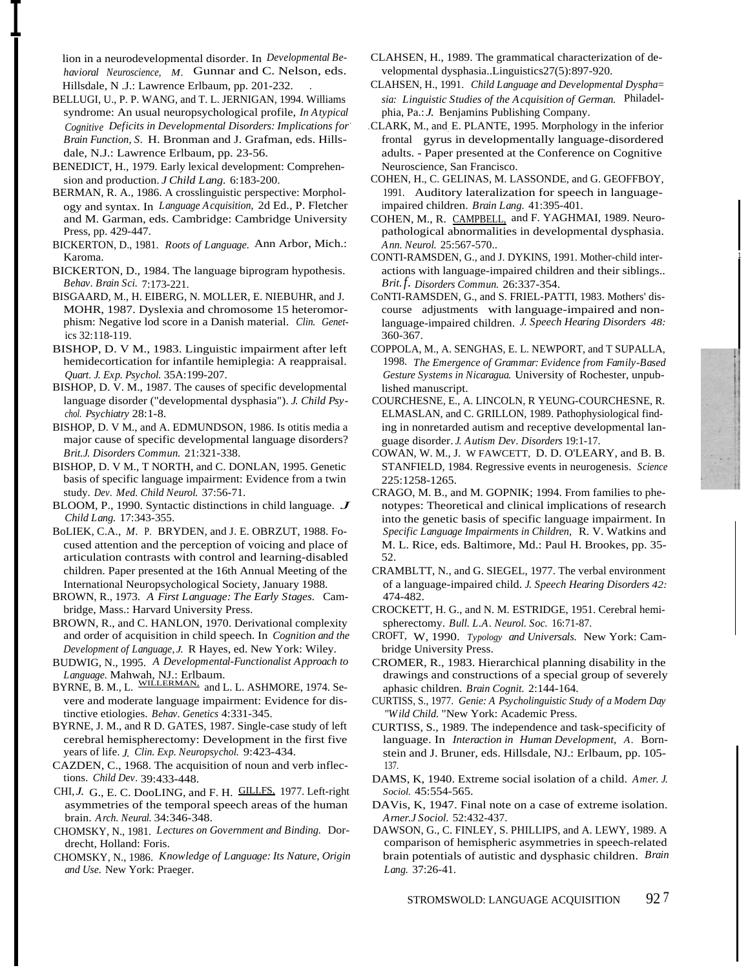lion in a neurodevelopmental disorder. In *Developmental Behavioral Neuroscience, M.* Gunnar and C. Nelson, eds. Hillsdale, N .J.: Lawrence Erlbaum, pp. 201-232. .

 $\ddagger$ 

- BELLUGI, U., P. P. WANG, and T. L. JERNIGAN, 1994. Williams syndrome: An usual neuropsychological profile, *In Atypical Cognitive Deficits in Developmental Disorders: Implications for-Brain Function, S.* H. Bronman and J. Grafman, eds. Hillsdale, N.J.: Lawrence Erlbaum, pp. 23-56.
- BENEDICT, H., 1979. Early lexical development: Comprehension and production.*J Child Lang.* 6:183-200.
- BERMAN, R. A., 1986. A crosslinguistic perspective: Morphology and syntax. In *Language Acquisition,* 2d Ed., P. Fletcher and M. Garman, eds. Cambridge: Cambridge University Press, pp. 429-447.
- BICKERTON, D., 1981. *Roots of Language.* Ann Arbor, Mich.: Karoma.
- BICKERTON, D., 1984. The language biprogram hypothesis. *Behav. Brain Sci.* 7:173-221.
- BISGAARD, M., H. EIBERG, N. MOLLER, E. NIEBUHR, and J. MOHR, 1987. Dyslexia and chromosome 15 heteromorphism: Negative lod score in a Danish material. *Clin. Genet*ics 32:118-119.
- BISHOP, D. V M., 1983. Linguistic impairment after left hemidecortication for infantile hemiplegia: A reappraisal. *Quart. J. Exp. Psychol.* 35A:199-207.
- BISHOP, D. V. M., 1987. The causes of specific developmental language disorder ("developmental dysphasia"). *J. Child Psychol. Psychiatry* 28:1-8.
- BISHOP, D. V M., and A. EDMUNDSON, 1986. Is otitis media a major cause of specific developmental language disorders? *Brit.J. Disorders Commun.* 21:321-338.
- BISHOP, D. V M., T NORTH, and C. DONLAN, 1995. Genetic basis of specific language impairment: Evidence from a twin study. *Dev. Med. Child Neurol.* 37:56-71.
- BLOOM, P., 1990. Syntactic distinctions in child language. *J Child Lang.* 17:343-355.
- BoLIEK, C.A., *M.* P. BRYDEN, and J. E. OBRZUT, 1988. Focused attention and the perception of voicing and place of articulation contrasts with control and learning-disabled children. Paper presented at the 16th Annual Meeting of the International Neuropsychological Society, January 1988.
- BROWN, R., 1973. *A First Language: The Early Stages.* Cambridge, Mass.: Harvard University Press.
- BROWN, R., and C. HANLON, 1970. Derivational complexity and order of acquisition in child speech. In *Cognition and the Development of Language,J.* R Hayes, ed. New York: Wiley.
- BUDWIG, N., 1995. *A Developmental-Functionalist Approach to* Language. Mahwah, NJ.: Erlbaum.<br>BYRNE, B. M., L. WILLERMAN, and L. L. ASHMORE, 1974. Se-
- vere and moderate language impairment: Evidence for distinctive etiologies. *Behav. Genetics* 4:331-345.
- BYRNE, J. M., and R D. GATES, 1987. Single-case study of left cerebral hemispherectomy: Development in the first five years of life. *J. Clin. Exp. Neuropsychol.* 9:423-434.
- CAZDEN, C., 1968. The acquisition of noun and verb inflections. *Child Dev.* 39:433-448.
- CHI, J. G., E. C. DooLING, and F. H. GILLFS, 1977. Left-right asymmetries of the temporal speech areas of the human brain. *Arch. Neural.* 34:346-348.
- CHOMSKY, N., 1981. *Lectures on Government and Binding.* Dordrecht, Holland: Foris.
- CHOMSKY, N., 1986. *Knowledge of Language: Its Nature, Origin and Use.* New York: Praeger.
- CLAHSEN, H., 1989. The grammatical characterization of developmental dysphasia..Linguistics27(5):897-920.
- CLAHSEN, H., 1991. *Child Language and Developmental Dyspha= sia: Linguistic Studies of the Acquisition of German.* Philadelphia, Pa.:*J.* Benjamins Publishing Company.
- .CLARK, M., and. E. PLANTE, 1995. Morphology in the inferior frontal gyrus in developmentally language-disordered adults. - Paper presented at the Conference on Cognitive Neuroscience, San Francisco.
- COHEN, H., C. GELINAS, M. LASSONDE, and G. GEOFFBOY, 1991. Auditory lateralization for speech in languageimpaired children. *Brain Lang.* 41:395-401.
- COHEN, M., R. CAMPBELL, and F. YAGHMAI, 1989. Neuropathological abnormalities in developmental dysphasia. *Ann. Neurol.* 25:567-570..
- CONTI-RAMSDEN, G., and J. DYKINS, 1991. Mother-child interactions with language-impaired children and their siblings.. *Brit.f. Disorders Commun.* 26:337-354.

1

- CoNTI-RAMSDEN, G., and S. FRIEL-PATTI, 1983. Mothers' discourse adjustments with language-impaired and nonlanguage-impaired children. *J. Speech Hearing Disorders 48:* 360-367.
- COPPOLA, M., A. SENGHAS, E. L. NEWPORT, and T SUPALLA, 1998. *The Emergence of Grammar: Evidence from Family-Based Gesture Systems in Nicaragua.* University of Rochester, unpublished manuscript.
- COURCHESNE, E., A. LINCOLN, R YEUNG-COURCHESNE, R. ELMASLAN, and C. GRILLON, 1989. Pathophysiological finding in nonretarded autism and receptive developmental language disorder.*J. Autism Dev. Disorders* 19:1-17.
- COWAN, W. M., J. W FAWCETT, D. D. O'LEARY, and B. B. STANFIELD, 1984. Regressive events in neurogenesis. *Science* 225:1258-1265.
- CRAGO, M. B., and M. GOPNIK; 1994. From families to phenotypes: Theoretical and clinical implications of research into the genetic basis of specific language impairment. In *Specific Language Impairments in Children,* R. V. Watkins and M. L. Rice, eds. Baltimore, Md.: Paul H. Brookes, pp. 35- 52.
- CRAMBLTT, N., and G. SIEGEL, 1977. The verbal environment of a language-impaired child. *J. Speech Hearing Disorders 42:* 474-482.
- CROCKETT, H. G., and N. M. ESTRIDGE, 1951. Cerebral hemispherectomy. *Bull. L.A. Neurol. Soc.* 16:71-87.
- CROFT, W, 1990. *Typology and Universals.* New York: Cambridge University Press.
- CROMER, R., 1983. Hierarchical planning disability in the drawings and constructions of a special group of severely aphasic children. *Brain Cognit.* 2:144-164.
- CURTISS, S., 1977. *Genie: A Psycholinguistic Study of a Modern Day "Wild Child.* "New York: Academic Press.
- CURTISS, S., 1989. The independence and task-specificity of language. In *Interaction in Human Development, A.* Bornstein and J. Bruner, eds. Hillsdale, NJ.: Erlbaum, pp. 105- 137.
- DAMS, K, 1940. Extreme social isolation of a child. *Amer. J. Sociol.* 45:554-565.
- DAVis, K, 1947. Final note on a case of extreme isolation. *Arner.J Sociol.* 52:432-437.
- DAWSON, G., C. FINLEY, S. PHILLIPS, and A. LEWY, 1989. A comparison of hemispheric asymmetries in speech-related brain potentials of autistic and dysphasic children. *Brain Lang.* 37:26-41.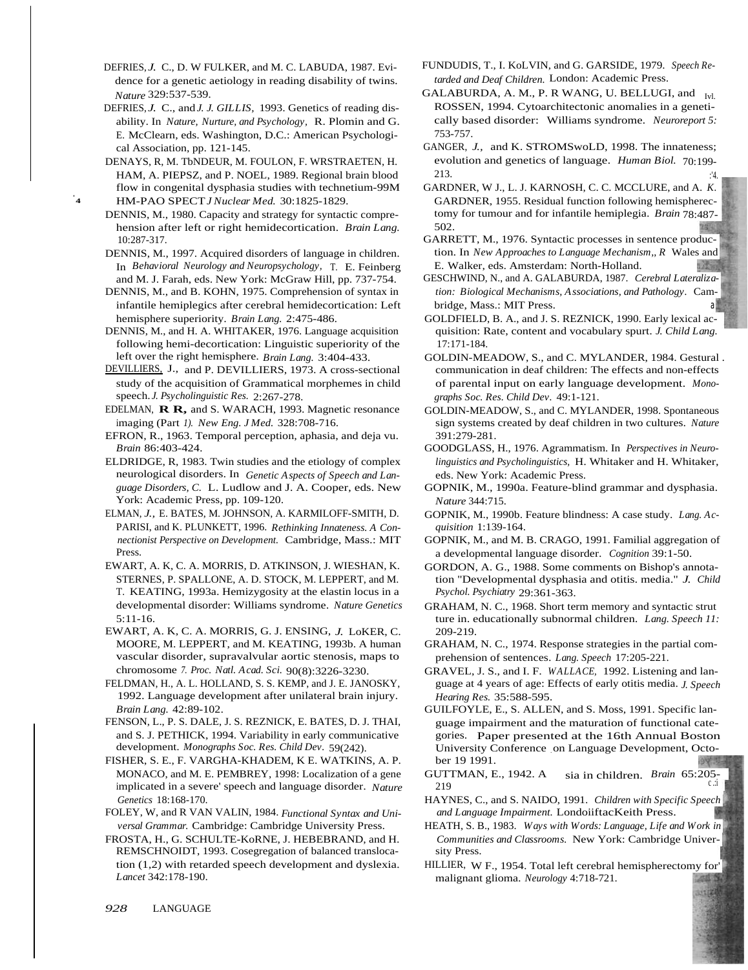- DEFRIES,*J.* C., D. W FULKER, and M. C. LABUDA, 1987. Evidence for a genetic aetiology in reading disability of twins. *Nature* 329:537-539.
- DEFRIES,*J.* C., and*J. J. GILLIS,* 1993. Genetics of reading disability. In *Nature, Nurture, and Psychology,* R. Plomin and G. E. McClearn, eds. Washington, D.C.: American Psychological Association, pp. 121-145.

DENAYS, R, M. TbNDEUR, M. FOULON, F. WRSTRAETEN, H. HAM, A. PIEPSZ, and P. NOEL, 1989. Regional brain blood flow in congenital dysphasia studies with technetium-99M HM-PAO SPECT*J Nuclear Med.* 30:1825-1829.

**. 4**

- DENNIS, M., 1980. Capacity and strategy for syntactic comprehension after left or right hemidecortication. *Brain Lang.* 10:287-317.
- DENNIS, M., 1997. Acquired disorders of language in children. In *Behavioral Neurology and Neuropsychology,* T. E. Feinberg and M. J. Farah, eds. New York: McGraw Hill, pp. 737-754.
- DENNIS, M., and B. KOHN, 1975. Comprehension of syntax in infantile hemiplegics after cerebral hemidecortication: Left hemisphere superiority. *Brain Lang.* 2:475-486.
- DENNIS, M., and H. A. WHITAKER, 1976. Language acquisition following hemi-decortication: Linguistic superiority of the left over the right hemisphere. *Brain Lang.* 3:404-433.
- DEVILLIERS, J., and P. DEVILLIERS, 1973. A cross-sectional study of the acquisition of Grammatical morphemes in child speech.*J. Psycholinguistic Res.* 2:267-278.
- EDELMAN, **R R,** and S. WARACH, 1993. Magnetic resonance imaging (Part *1). New Eng. J Med.* 328:708-716.
- EFRON, R., 1963. Temporal perception, aphasia, and deja vu. *Brain* 86:403-424.
- ELDRIDGE, R, 1983. Twin studies and the etiology of complex neurological disorders. In *Genetic Aspects of Speech and Language Disorders, C.* L. Ludlow and J. A. Cooper, eds. New York: Academic Press, pp. 109-120.
- ELMAN, *J.,* E. BATES, M. JOHNSON, A. KARMILOFF-SMITH, D. PARISI, and K. PLUNKETT, 1996. *Rethinking Innateness. A Connectionist Perspective on Development.* Cambridge, Mass.: MIT Press.
- EWART, A. K, C. A. MORRIS, D. ATKINSON, J. WIESHAN, K. STERNES, P. SPALLONE, A. D. STOCK, M. LEPPERT, and M. T. KEATING, 1993a. Hemizygosity at the elastin locus in a developmental disorder: Williams syndrome. *Nature Genetics* 5:11-16.
- EWART, A. K, C. A. MORRIS, G. J. ENSING, *J.* LoKER, C. MOORE, M. LEPPERT, and M. KEATING, 1993b. A human vascular disorder, supravalvular aortic stenosis, maps to chromosome *7. Proc. Natl. Acad. Sci.* 90(8):3226-3230.
- FELDMAN, H., A. L. HOLLAND, S. S. KEMP, and J. E. JANOSKY, 1992. Language development after unilateral brain injury. *Brain Lang.* 42:89-102.
- FENSON, L., P. S. DALE, J. S. REZNICK, E. BATES, D. J. THAI, and S. J. PETHICK, 1994. Variability in early communicative development. *Monographs Soc. Res. Child Dev.* 59(242).
- FISHER, S. E., F. VARGHA-KHADEM, K E. WATKINS, A. P. MONACO, and M. E. PEMBREY, 1998: Localization of a gene implicated in a severe' speech and language disorder. *Nature Genetics* 18:168-170.
- FOLEY, W, and R VAN VALIN, 1984. *Functional Syntax and Universal Grammar.* Cambridge: Cambridge University Press.
- FROSTA, H., G. SCHULTE-KoRNE, J. HEBEBRAND, and H. REMSCHNOIDT, 1993. Cosegregation of balanced translocation (1,2) with retarded speech development and dyslexia. *Lancet* 342:178-190.
- FUNDUDIS, T., I. KoLVIN, and G. GARSIDE, 1979. *Speech Retarded and Deaf Children.* London: Academic Press.
- GALABURDA, A. M., P. R WANG, U. BELLUGI, and Ivl. ROSSEN, 1994. Cytoarchitectonic anomalies in a genetically based disorder: Williams syndrome. *Neuroreport 5:* 753-757.
- GANGER, *J.,* and K. STROMSwoLD, 1998. The innateness; evolution and genetics of language. *Human Biol.* 70:199-  $213.$  :
- GARDNER, W J., L. J. KARNOSH, C. C. MCCLURE, and A. *K.* GARDNER, 1955. Residual function following hemispherectomy for tumour and for infantile hemiplegia. *Brain* 78:487- 502.
- GARRETT, M., 1976. Syntactic processes in sentence production. In *New Approaches to Language Mechanism,, R* Wales and E. Walker, eds. Amsterdam: North-Holland.
- GESCHWIND, N., and A. GALABURDA, 1987. *Cerebral Lateralization: Biological Mechanisms, Associations, and Pathology.* Cambridge, Mass.: MIT Press. <sup>a</sup>
- GOLDFIELD, B. A., and J. S. REZNICK, 1990. Early lexical acquisition: Rate, content and vocabulary spurt. *J. Child Lang.* 17:171-184.
- GOLDIN-MEADOW, S., and C. MYLANDER, 1984. Gestural . communication in deaf children: The effects and non-effects of parental input on early language development. *Monographs Soc. Res. Child Dev.* 49:1-121.
- GOLDIN-MEADOW, S., and C. MYLANDER, 1998. Spontaneous sign systems created by deaf children in two cultures. *Nature* 391:279-281.
- GOODGLASS, H., 1976. Agrammatism. In *Perspectives in Neurolinguistics and Psycholinguistics,* H. Whitaker and H. Whitaker, eds. New York: Academic Press.
- GOPNIK, M., 1990a. Feature-blind grammar and dysphasia. *Nature* 344:715.
- GOPNIK, M., 1990b. Feature blindness: A case study. *Lang. Acquisition* 1:139-164.
- GOPNIK, M., and M. B. CRAGO, 1991. Familial aggregation of a developmental language disorder. *Cognition* 39:1-50.
- GORDON, A. G., 1988. Some comments on Bishop's annotation "Developmental dysphasia and otitis. media." *J. Child Psychol. Psychiatry* 29:361-363.
- GRAHAM, N. C., 1968. Short term memory and syntactic strut ture in. educationally subnormal children. *Lang. Speech 11:* 209-219.
- GRAHAM, N. C., 1974. Response strategies in the partial comprehension of sentences. *Lang. Speech* 17:205-221.
- GRAVEL, J. S., and I. F. *WALLACE,* 1992. Listening and language at 4 years of age: Effects of early otitis media. *J. Speech Hearing Res.* 35:588-595.
- GUILFOYLE, E., S. ALLEN, and S. Moss, 1991. Specific language impairment and the maturation of functional categories. Paper presented at the 16th Annual Boston University Conference on Language Development, October 19 1991.
- GUTTMAN, E., 1942. A sia in children. *Brain* 65:205- 219 c  $\Omega$
- HAYNES, C., and S. NAIDO, 1991. *Children with Specific Speech and Language Impairment.* LondoiiftacKeith Press.
- HEATH, S. B., 1983. *Ways with Words: Language, Life and Work in Communities and Classrooms.* New York: Cambridge University Press.
- HILLIER, W F., 1954. Total left cerebral hemispherectomy for' malignant glioma. *Neurology* 4:718-721.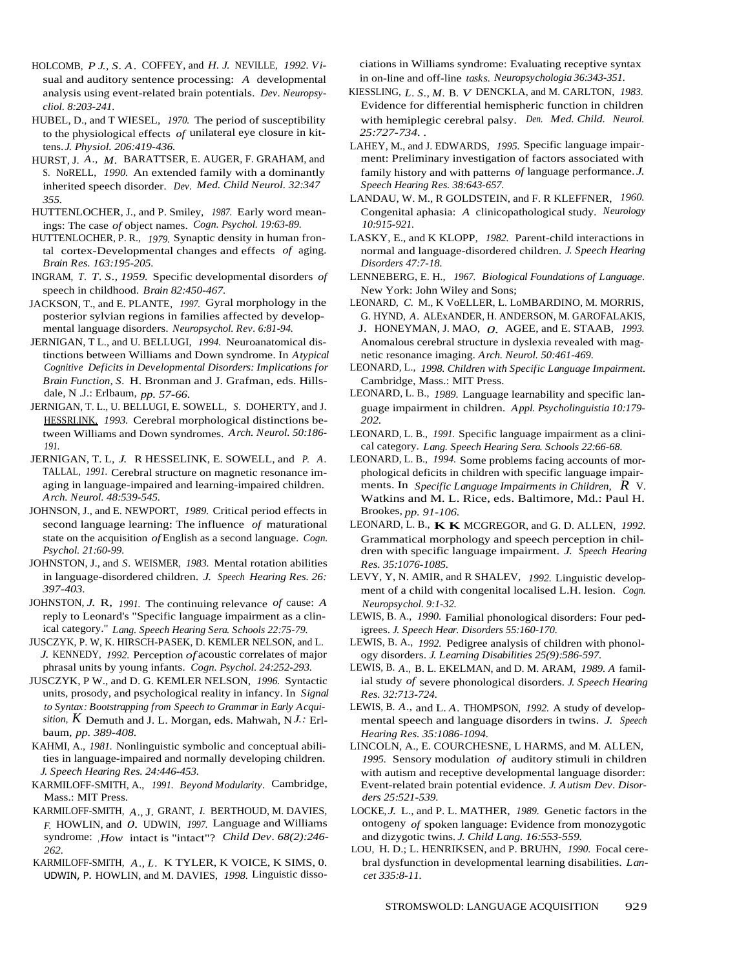- HOLCOMB, *P J., S. A.* COFFEY, and *H. J.* NEVILLE, *1992. Vi*sual and auditory sentence processing: *A* developmental analysis using event-related brain potentials. *Dev. Neuropsycliol. 8:203-241.*
- HUBEL, D., and T WIESEL, *1970.* The period of susceptibility to the physiological effects *of* unilateral eye closure in kittens.*J. Physiol. 206:419-436.*
- HURST, J. *A., M.* BARATTSER, E. AUGER, F. GRAHAM, and S. NoRELL, *1990.* An extended family with a dominantly inherited speech disorder. *Dev. Med. Child Neurol. 32:347 355.*
- HUTTENLOCHER, J., and P. Smiley, *1987.* Early word meanings: The case *of* object names. *Cogn. Psychol. 19:63-89.*
- HUTTENLOCHER, P. R., *1979.* Synaptic density in human frontal cortex-Developmental changes and effects *of* aging. *Brain Res. 163:195-205.*
- INGRAM, *T. T. S., 1959.* Specific developmental disorders *of* speech in childhood. *Brain 82:450-467.*
- JACKSON, T., and E. PLANTE, *1997.* Gyral morphology in the posterior sylvian regions in families affected by developmental language disorders. *Neuropsychol. Rev. 6:81-94.*
- JERNIGAN, T L., and U. BELLUGI, *1994.* Neuroanatomical distinctions between Williams and Down syndrome. In *Atypical Cognitive Deficits in Developmental Disorders: Implications for Brain Function, S.* H. Bronman and J. Grafman, eds. Hillsdale, N .J.: Erlbaum, *pp. 57-66.*
- JERNIGAN, T. L., U. BELLUGI, E. SOWELL, *S.* DOHERTY, and J. HESSRI.INK, *1993.* Cerebral morphological distinctions between Williams and Down syndromes. *Arch. Neurol. 50:186- 191.*
- JERNIGAN, T. L, *J.* R HESSELINK, E. SOWELL, and *P. A.* TALLAL, *1991.* Cerebral structure on magnetic resonance imaging in language-impaired and learning-impaired children. *Arch. Neurol. 48:539-545.*
- JOHNSON, J., and E. NEWPORT, *1989.* Critical period effects in second language learning: The influence *of* maturational state on the acquisition *of*English as a second language. *Cogn. Psychol. 21:60-99.*
- JOHNSTON, J., and *S.* WEISMER, *1983.* Mental rotation abilities in language-disordered children. *J. Speech Hearing Res. 26: 397-403.*
- JOHNSTON, *J.* R, *1991.* The continuing relevance *of* cause: *A* reply to Leonard's "Specific language impairment as a clinical category." *Lang. Speech Hearing Sera. Schools 22:75-79.*
- JUSCZYK, P. W, K. HIRSCH-PASEK, D. KEMLER NELSON, and L. *J.* KENNEDY, *1992.* Perception *of*acoustic correlates of major phrasal units by young infants. *Cogn. Psychol. 24:252-293.*
- JUSCZYK, P W., and D. G. KEMLER NELSON, *1996.* Syntactic units, prosody, and psychological reality in infancy. In *Signal to Syntax: Bootstrapping from Speech to Grammar in Early Acquisition, K* Demuth and J. L. Morgan, eds. Mahwah, N*J.:* Erlbaum, *pp. 389-408.*
- KAHMI, A., *1981.* Nonlinguistic symbolic and conceptual abilities in language-impaired and normally developing children. *J. Speech Hearing Res. 24:446-453.*
- KARMILOFF-SMITH, A., *1991. Beyond Modularity.* Cambridge, Mass.: MIT Press.
- KARMILOFF-SMITH, *A.,* J. GRANT, *I.* BERTHOUD, M. DAVIES, *F.* HOWLIN, and *0.* UDWIN, *1997.* Language and Williams syndrome: *How* intact is "intact"? *Child Dev.* 68(2):246-*262.*
- KARMILOFF-SMITH, *A., L.* K TYLER, K VOICE, K SIMS, 0. UDWIN, P. HOWLIN, and M. DAVIES, *1998.* Linguistic disso-

ciations in Williams syndrome: Evaluating receptive syntax in on-line and off-line *tasks. Neuropsychologia 36:343-351.*

- KIESSLING, *L. S., M.* B. *V* DENCKLA, and M. CARLTON, *1983.* Evidence for differential hemispheric function in children with hemiplegic cerebral palsy. *Den. Med. Child. Neurol. 25:727-734. .*
- LAHEY, M., and J. EDWARDS, *1995.* Specific language impairment: Preliminary investigation of factors associated with family history and with patterns *of* language performance.*J. Speech Hearing Res. 38:643-657.*
- LANDAU, W. M., R GOLDSTEIN, and F. R KLEFFNER, *1960.* Congenital aphasia: *A* clinicopathological study. *Neurology 10:915-921.*
- LASKY, E., and K KLOPP, *1982.* Parent-child interactions in normal and language-disordered children. *J. Speech Hearing Disorders 47:7-18.*
- LENNEBERG, E. H., *1967. Biological Foundations of Language.* New York: John Wiley and Sons;
- LEONARD, *C.* M., K VoELLER, L. LoMBARDINO, M. MORRIS, G. HYND, *A.* ALExANDER, H. ANDERSON, M. GAROFALAKIS, J. HONEYMAN, J. MAO, *0.* AGEE, and E. STAAB, *1993.* Anomalous cerebral structure in dyslexia revealed with magnetic resonance imaging. *Arch. Neurol. 50:461-469.*
- LEONARD, L., *1998. Children with Specific Language Impairment.* Cambridge, Mass.: MIT Press.
- LEONARD, L. B., *1989.* Language learnability and specific language impairment in children. *Appl. Psycholinguistia 10:179- 202.*
- LEONARD, L. B., *1991.* Specific language impairment as a clinical category. *Lang. Speech Hearing Sera. Schools 22:66-68.*
- LEONARD, L. B., *1994.* Some problems facing accounts of morphological deficits in children with specific language impairments. In *Specific Language Impairments in Children, R* V. Watkins and M. L. Rice, eds. Baltimore, Md.: Paul H. Brookes, *pp. 91-106.*
- LEONARD, L. B., **K K** MCGREGOR, and G. D. ALLEN, *1992.* Grammatical morphology and speech perception in children with specific language impairment. *J. Speech Hearing Res. 35:1076-1085.*
- LEVY, Y, N. AMIR, and R SHALEV, *1992.* Linguistic development of a child with congenital localised L.H. lesion. *Cogn. Neuropsychol. 9:1-32.*
- LEWIS, B. A., *1990.* Familial phonological disorders: Four pedigrees. *J. Speech Hear. Disorders 55:160-170.*
- LEWIS, B. A., *1992.* Pedigree analysis of children with phonology disorders. *J. Learning Disabilities 25(9):586-597.*
- LEWIS, B. *A.,* B. L. EKELMAN, and D. M. ARAM, *1989. A* familial study *of* severe phonological disorders. *J. Speech Hearing Res. 32:713-724.*
- LEWIS, B. *A.,* and L. *A.* THOMPSON, *1992.* A study of developmental speech and language disorders in twins. *J. Speech Hearing Res. 35:1086-1094.*
- LINCOLN, A., E. COURCHESNE, L HARMS, and M. ALLEN, *1995.* Sensory modulation *of* auditory stimuli in children with autism and receptive developmental language disorder: Event-related brain potential evidence. *J. Autism Dev. Disorders 25:521-539.*
- LOCKE,*J.* L., and P. L. MATHER, *1989.* Genetic factors in the ontogeny *of* spoken language: Evidence from monozygotic and dizygotic twins.*J. Child Lang. 16:553-559.*
- LOU, H. D.; L. HENRIKSEN, and P. BRUHN, *1990.* Focal cerebral dysfunction in developmental learning disabilities. *Lancet 335:8-11.*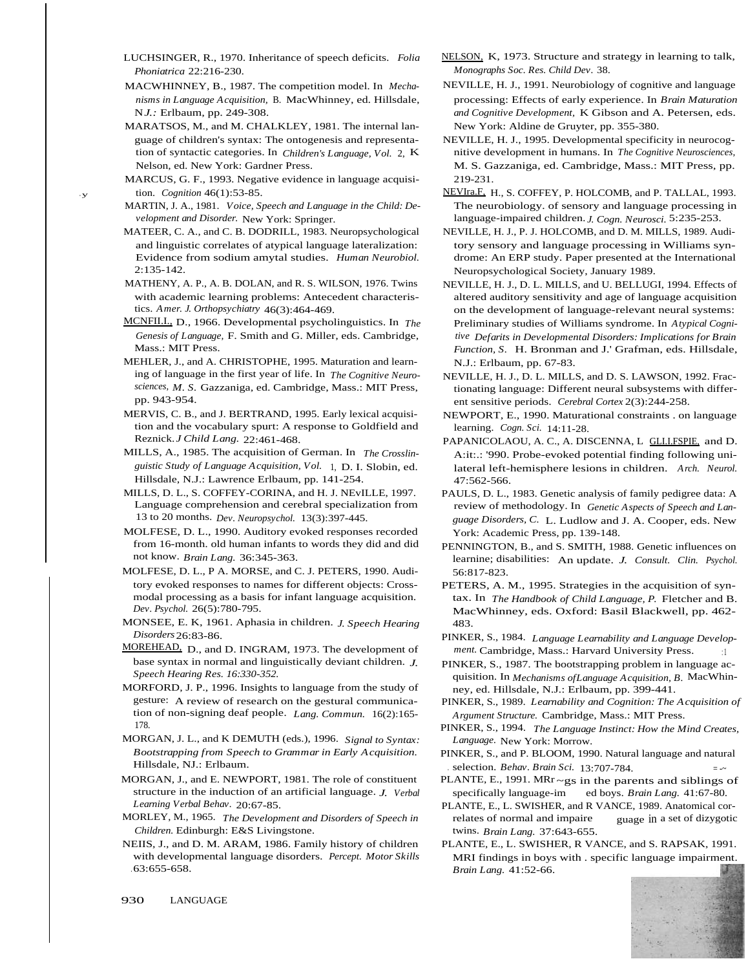- LUCHSINGER, R., 1970. Inheritance of speech deficits. *Folia Phoniatrica* 22:216-230.
- MACWHINNEY, B., 1987. The competition model. In *Mechanisms in Language Acquisition,* B. MacWhinney, ed. Hillsdale, N*J.:* Erlbaum, pp. 249-308.
- MARATSOS, M., and M. CHALKLEY, 1981. The internal language of children's syntax: The ontogenesis and representation of syntactic categories. In *Children's Language, Vol.* 2, K Nelson, ed. New York: Gardner Press.
- MARCUS, G. F., 1993. Negative evidence in language acquisition. *Cognition* 46(1):53-85.

. y

- MARTIN, J. A., 1981. *Voice, Speech and Language in the Child: Development and Disorder.* New York: Springer.
- MATEER, C. A., and C. B. DODRILL, 1983. Neuropsychological and linguistic correlates of atypical language lateralization: Evidence from sodium amytal studies. *Human Neurobiol.* 2:135-142.
- MATHENY, A. P., A. B. DOLAN, and R. S. WILSON, 1976. Twins with academic learning problems: Antecedent characteristics. *Amer. J. Orthopsychiatry* 46(3):464-469.
- MCNFII.I., D., 1966. Developmental psycholinguistics. In *The Genesis of Language,* F. Smith and G. Miller, eds. Cambridge, Mass.: MIT Press.
- MEHLER, J., and A. CHRISTOPHE, 1995. Maturation and learning of language in the first year of life. In *The Cognitive Neurosciences, M. S.* Gazzaniga, ed. Cambridge, Mass.: MIT Press, pp. 943-954.
- MERVIS, C. B., and J. BERTRAND, 1995. Early lexical acquisition and the vocabulary spurt: A response to Goldfield and Reznick.*J Child Lang.* 22:461-468.
- MILLS, A., 1985. The acquisition of German. In *The Crosslinguistic Study of Language Acquisition, Vol.* 1, D. I. Slobin, ed. Hillsdale, N.J.: Lawrence Erlbaum, pp. 141-254.
- MILLS, D. L., S. COFFEY-CORINA, and H. J. NEvILLE, 1997. Language comprehension and cerebral specialization from 13 to 20 months. *Dev. Neuropsychol.* 13(3):397-445.
- MOLFESE, D. L., 1990. Auditory evoked responses recorded from 16-month. old human infants to words they did and did not know. *Brain Lang.* 36:345-363.
- MOLFESE, D. L., P A. MORSE, and C. J. PETERS, 1990. Auditory evoked responses to names for different objects: Crossmodal processing as a basis for infant language acquisition. *Dev. Psychol.* 26(5):780-795.
- MONSEE, E. K, 1961. Aphasia in children. *J. Speech Hearing Disorders* 26:83-86.
- MOREHEAD, D., and D. INGRAM, 1973. The development of base syntax in normal and linguistically deviant children. *J. Speech Hearing Res. 16:330-352.*
- MORFORD, J. P., 1996. Insights to language from the study of gesture: A review of research on the gestural communication of non-signing deaf people. *Lang. Commun.* 16(2):165- 178.
- MORGAN, J. L., and K DEMUTH (eds.), 1996. *Signal to Syntax: Bootstrapping from Speech to Grammar in Early Acquisition.* Hillsdale, NJ.: Erlbaum.
- MORGAN, J., and E. NEWPORT, 1981. The role of constituent structure in the induction of an artificial language. *J. Verbal Learning Verbal Behav.* 20:67-85.
- MORLEY, M., 1965. *The Development and Disorders of Speech in Children.* Edinburgh: E&S Livingstone.
- NEIIS, J., and D. M. ARAM, 1986. Family history of children with developmental language disorders. *Percept. Motor Skills* . 63:655-658.
- NELSON, K, 1973. Structure and strategy in learning to talk, *Monographs Soc. Res. Child Dev.* 38.
- NEVILLE, H. J., 1991. Neurobiology of cognitive and language processing: Effects of early experience. In *Brain Maturation and Cognitive Development,* K Gibson and A. Petersen, eds. New York: Aldine de Gruyter, pp. 355-380.
- NEVILLE, H. J., 1995. Developmental specificity in neurocognitive development in humans. In *The Cognitive Neurosciences,* M. S. Gazzaniga, ed. Cambridge, Mass.: MIT Press, pp. 219-231.
- NEVIra.F, H., S. COFFEY, P. HOLCOMB, and P. TALLAL, 1993. The neurobiology. of sensory and language processing in language-impaired children.*J. Cogn. Neurosci.* 5:235-253.
- NEVILLE, H. J., P. J. HOLCOMB, and D. M. MILLS, 1989. Auditory sensory and language processing in Williams syndrome: An ERP study. Paper presented at the International Neuropsychological Society, January 1989.
- NEVILLE, H. J., D. L. MILLS, and U. BELLUGI, 1994. Effects of altered auditory sensitivity and age of language acquisition on the development of language-relevant neural systems: Preliminary studies of Williams syndrome. In *Atypical Cognitive Defarits in Developmental Disorders: Implications for Brain Function, S.* H. Bronman and J.' Grafman, eds. Hillsdale, N.J.: Erlbaum, pp. 67-83.
- NEVILLE, H. J., D. L. MILLS, and D. S. LAWSON, 1992. Fractionating language: Different neural subsystems with different sensitive periods. *Cerebral Cortex* 2(3):244-258.
- NEWPORT, E., 1990. Maturational constraints . on language learning. *Cogn. Sci.* 14:11-28.
- PAPANICOLAOU, A. C., A. DISCENNA, L GLI.I.FSPIE, and D. A:it:.: '990. Probe-evoked potential finding following unilateral left-hemisphere lesions in children. *Arch. Neurol.* 47:562-566.
- PAULS, D. L., 1983. Genetic analysis of family pedigree data: A review of methodology. In *Genetic Aspects of Speech and Language Disorders, C.* L. Ludlow and J. A. Cooper, eds. New York: Academic Press, pp. 139-148.
- PENNINGTON, B., and S. SMITH, 1988. Genetic influences on learnine; disabilities: An update. *J. Consult. Clin. Psychol.* 56:817-823.
- PETERS, A. M., 1995. Strategies in the acquisition of syntax. In *The Handbook of Child Language, P.* Fletcher and B. MacWhinney, eds. Oxford: Basil Blackwell, pp. 462- 483.
- PINKER, S., 1984. *Language Learnability and Language Development.* Cambridge, Mass.: Harvard University Press.
- PINKER, S., 1987. The bootstrapping problem in language acquisition. In *Mechanisms ofLanguage Acquisition, B.* MacWhinney, ed. Hillsdale, N.J.: Erlbaum, pp. 399-441.
- PINKER, S., 1989. *Learnability and Cognition: The Acquisition of Argument Structure.* Cambridge, Mass.: MIT Press.
- PINKER, S., 1994. *The Language Instinct: How the Mind Creates, Language.* New York: Morrow.
- PINKER, S., and P. BLOOM, 1990. Natural language and natural selection. *Behav. Brain Sci.* 13:707-784.
- PLANTE, E., 1991. MRr ~gs in the parents and siblings of specifically language-im ed boys. *Brain Lang.* 41:67-80.
- PLANTE, E., L. SWISHER, and R VANCE, 1989. Anatomical correlates of normal and impaire guage in a set of dizygotic twins. *Brain Lang.* 37:643-655.
- PLANTE, E., L. SWISHER, R VANCE, and S. RAPSAK, 1991. MRI findings in boys with . specific language impairment. *Brain Lang.* 41:52-66.

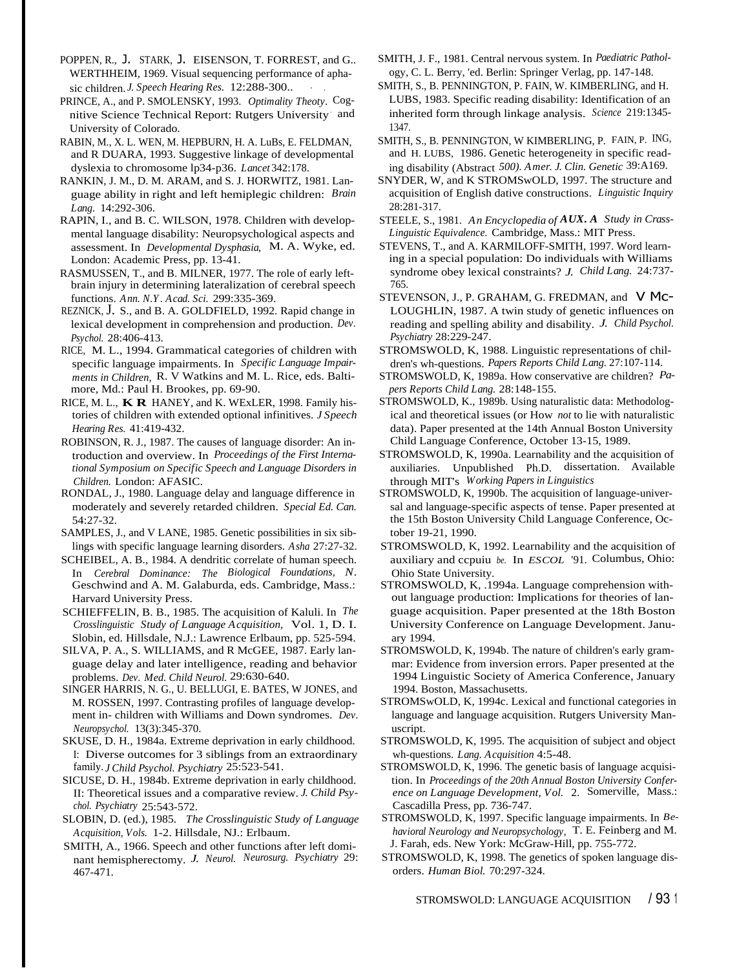- POPPEN, R., J. STARK, J. EISENSON, T. FORREST, and G.. WERTHHEIM, 1969. Visual sequencing performance of aphasic children. J. Speech Hearing Res. 12:288-300..
- PRINCE, A., and P. SMOLENSKY, 1993. *Optimality Theoty.* Cognitive Science Technical Report: Rutgers University and University of Colorado.
- RABIN, M., X. L. WEN, M. HEPBURN, H. A. LuBs, E. FELDMAN, and R DUARA, 1993. Suggestive linkage of developmental dyslexia to chromosome lp34-p36. *Lancet* 342:178.
- RANKIN, J. M., D. M. ARAM, and S. J. HORWITZ, 1981. Language ability in right and left hemiplegic children: *Brain Lang.* 14:292-306.
- RAPIN, I., and B. C. WILSON, 1978. Children with developmental language disability: Neuropsychological aspects and assessment. In *Developmental Dysphasia,* M. A. Wyke, ed. London: Academic Press, pp. 13-41.
- RASMUSSEN, T., and B. MILNER, 1977. The role of early leftbrain injury in determining lateralization of cerebral speech functions. *Ann. N.Y. Acad. Sci.* 299:335-369.
- REZNICK, J. S., and B. A. GOLDFIELD, 1992. Rapid change in lexical development in comprehension and production. *Dev. Psychol.* 28:406-413.
- RICE, M. L., 1994. Grammatical categories of children with specific language impairments. In *Specific Language Impairments in Children,* R. V Watkins and M. L. Rice, eds. Baltimore, Md.: Paul H. Brookes, pp. 69-90.
- RICE, M. L., **K R** HANEY, and K. WExLER, 1998. Family histories of children with extended optional infinitives. *J Speech Hearing Res.* 41:419-432.
- ROBINSON, R. J., 1987. The causes of language disorder: An introduction and overview. In *Proceedings of the First International Symposium on Specific Speech and Language Disorders in Children.* London: AFASIC.
- RONDAL, J., 1980. Language delay and language difference in moderately and severely retarded children. *Special Ed. Can.* 54:27-32.
- SAMPLES, J., and V LANE, 1985. Genetic possibilities in six siblings with specific language learning disorders. *Asha* 27:27-32.
- SCHEIBEL, A. B., 1984. A dendritic correlate of human speech. In *Cerebral Dominance: The Biological Foundations, N.* Geschwind and A. M. Galaburda, eds. Cambridge, Mass.: Harvard University Press.
- SCHIEFFELIN, B. B., 1985. The acquisition of Kaluli. In *The Crosslinguistic Study of Language Acquisition,* Vol. 1, D. I. Slobin, ed. Hillsdale, N.J.: Lawrence Erlbaum, pp. 525-594.
- SILVA, P. A., S. WILLIAMS, and R McGEE, 1987. Early language delay and later intelligence, reading and behavior problems. *Dev. Med. Child Neurol.* 29:630-640.
- SINGER HARRIS, N. G., U. BELLUGI, E. BATES, W JONES, and M. ROSSEN, 1997. Contrasting profiles of language development in- children with Williams and Down syndromes. *Dev. Neuropsychol.* 13(3):345-370.
- SKUSE, D. H., 1984a. Extreme deprivation in early childhood. I: Diverse outcomes for 3 siblings from an extraordinary family.*J Child Psychol. Psychiatry* 25:523-541.
- SICUSE, D. H., 1984b. Extreme deprivation in early childhood. II: Theoretical issues and a comparative review. *J. Child Psychol. Psychiatry* 25:543-572.
- SLOBIN, D. (ed.), 1985. *The Crosslinguistic Study of Language Acquisition, Vols.* 1-2. Hillsdale, NJ.: Erlbaum.
- SMITH, A., 1966. Speech and other functions after left dominant hemispherectomy. *J. Neurol. Neurosurg. Psychiatry* 29: 467-471.
- SMITH, J. F., 1981. Central nervous system. In *Paediatric Pathol*ogy, C. L. Berry, 'ed. Berlin: Springer Verlag, pp. 147-148.
- SMITH, S., B. PENNINGTON, P. FAIN, W. KIMBERLING, and H. LUBS, 1983. Specific reading disability: Identification of an inherited form through linkage analysis. *Science* 219:1345- 1347.
- SMITH, S., B. PENNINGTON, W KIMBERLING, P. FAIN, P. ING, and H. LUBS, 1986. Genetic heterogeneity in specific reading disability (Abstract *500). Amer. J. Clin. Genetic* 39:A169.
- SNYDER, W, and K STROMSwOLD, 1997. The structure and acquisition of English dative constructions. *Linguistic Inquiry* 28:281-317.
- STEELE, S., 1981. *An Encyclopedia of AUX. A Study in Crass-Linguistic Equivalence.* Cambridge, Mass.: MIT Press.
- STEVENS, T., and A. KARMILOFF-SMITH, 1997. Word learning in a special population: Do individuals with Williams syndrome obey lexical constraints? *J. Child Lang.* 24:737- 765.
- STEVENSON, J., P. GRAHAM, G. FREDMAN, and V Mc-LOUGHLIN, 1987. A twin study of genetic influences on reading and spelling ability and disability. *J. Child Psychol. Psychiatry* 28:229-247.
- STROMSWOLD, K, 1988. Linguistic representations of children's wh-questions. *Papers Reports Child Lang.* 27:107-114.
- STROMSWOLD, K, 1989a. How conservative are children? *Papers Reports Child Lang.* 28:148-155.
- STROMSWOLD, K., 1989b. Using naturalistic data: Methodological and theoretical issues (or How *not* to lie with naturalistic data). Paper presented at the 14th Annual Boston University Child Language Conference, October 13-15, 1989.
- STROMSWOLD, K, 1990a. Learnability and the acquisition of auxiliaries. Unpublished Ph.D. dissertation. Available through MIT's *Working Papers in Linguistics*
- STROMSWOLD, K, 1990b. The acquisition of language-universal and language-specific aspects of tense. Paper presented at the 15th Boston University Child Language Conference, October 19-21, 1990.
- STROMSWOLD, K, 1992. Learnability and the acquisition of auxiliary and ccpuiu *be.* In *ESCOL* '91. Columbus, Ohio: Ohio State University.
- STROMSWOLD, K, .1994a. Language comprehension without language production: Implications for theories of language acquisition. Paper presented at the 18th Boston University Conference on Language Development. January 1994.
- STROMSWOLD, K, 1994b. The nature of children's early grammar: Evidence from inversion errors. Paper presented at the 1994 Linguistic Society of America Conference, January 1994. Boston, Massachusetts.
- STROMSwOLD, K, 1994c. Lexical and functional categories in language and language acquisition. Rutgers University Manuscript.
- STROMSWOLD, K, 1995. The acquisition of subject and object wh-questions. *Lang. Acquisition* 4:5-48.
- STROMSWOLD, K, 1996. The genetic basis of language acquisition. In *Proceedings of the 20th Annual Boston University Conference on Language Development, Vol.* 2. Somerville, Mass.: Cascadilla Press, pp. 736-747.
- STROMSWOLD, K, 1997. Specific language impairments. In *Behavioral Neurology and Neuropsychology,* T. E. Feinberg and M. J. Farah, eds. New York: McGraw-Hill, pp. 755-772.
- STROMSWOLD, K, 1998. The genetics of spoken language disorders. *Human Biol.* 70:297-324.